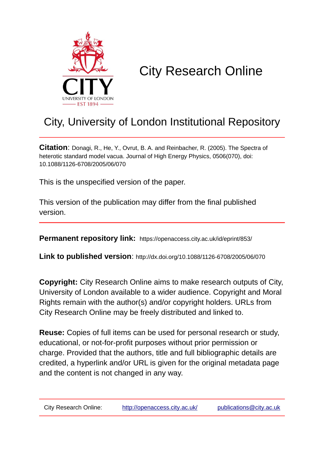

# City Research Online

# City, University of London Institutional Repository

**Citation**: Donagi, R., He, Y., Ovrut, B. A. and Reinbacher, R. (2005). The Spectra of heterotic standard model vacua. Journal of High Energy Physics, 0506(070), doi: 10.1088/1126-6708/2005/06/070

This is the unspecified version of the paper.

This version of the publication may differ from the final published version.

**Permanent repository link:** https://openaccess.city.ac.uk/id/eprint/853/

**Link to published version**: http://dx.doi.org/10.1088/1126-6708/2005/06/070

**Copyright:** City Research Online aims to make research outputs of City, University of London available to a wider audience. Copyright and Moral Rights remain with the author(s) and/or copyright holders. URLs from City Research Online may be freely distributed and linked to.

**Reuse:** Copies of full items can be used for personal research or study, educational, or not-for-profit purposes without prior permission or charge. Provided that the authors, title and full bibliographic details are credited, a hyperlink and/or URL is given for the original metadata page and the content is not changed in any way.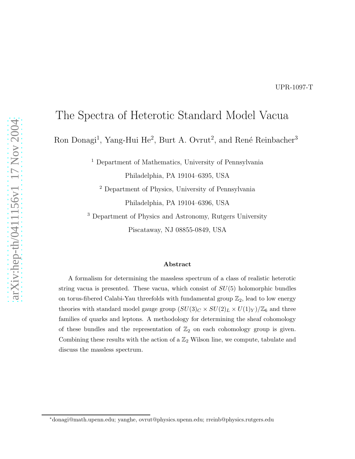## The Spectra of Heterotic Standard Model Vacua

Ron Donagi<sup>1</sup>, Yang-Hui He<sup>2</sup>, Burt A. Ovrut<sup>2</sup>, and René Reinbacher<sup>3</sup>

<sup>1</sup> Department of Mathematics, University of Pennsylvania

Philadelphia, PA 19104–6395, USA

<sup>2</sup> Department of Physics, University of Pennsylvania Philadelphia, PA 19104–6396, USA

<sup>3</sup> Department of Physics and Astronomy, Rutgers University Piscataway, NJ 08855-0849, USA

#### Abstract

A formalism for determining the massless spectrum of a class of realistic heterotic string vacua is presented. These vacua, which consist of  $SU(5)$  holomorphic bundles on torus-fibered Calabi-Yau threefolds with fundamental group  $\mathbb{Z}_2$ , lead to low energy theories with standard model gauge group  $(SU(3)_C \times SU(2)_L \times U(1)_Y)/\mathbb{Z}_6$  and three families of quarks and leptons. A methodology for determining the sheaf cohomology of these bundles and the representation of  $\mathbb{Z}_2$  on each cohomology group is given. Combining these results with the action of a  $\mathbb{Z}_2$  Wilson line, we compute, tabulate and discuss the massless spectrum.

<sup>∗</sup>donagi@math.upenn.edu; yanghe, ovrut@physics.upenn.edu; rreinb@physics.rutgers.edu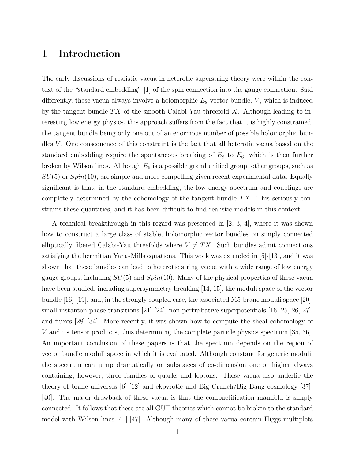### 1 Introduction

The early discussions of realistic vacua in heterotic superstring theory were within the context of the "standard embedding" [1] of the spin connection into the gauge connection. Said differently, these vacua always involve a holomorphic  $E_8$  vector bundle,  $V$ , which is induced by the tangent bundle  $TX$  of the smooth Calabi-Yau threefold X. Although leading to interesting low energy physics, this approach suffers from the fact that it is highly constrained, the tangent bundle being only one out of an enormous number of possible holomorphic bundles  $V$ . One consequence of this constraint is the fact that all heterotic vacua based on the standard embedding require the spontaneous breaking of  $E_8$  to  $E_6$ , which is then further broken by Wilson lines. Although  $E_6$  is a possible grand unified group, other groups, such as  $SU(5)$  or  $Spin(10)$ , are simple and more compelling given recent experimental data. Equally significant is that, in the standard embedding, the low energy spectrum and couplings are completely determined by the cohomology of the tangent bundle  $TX$ . This seriously constrains these quantities, and it has been difficult to find realistic models in this context.

A technical breakthrough in this regard was presented in [2, 3, 4], where it was shown how to construct a large class of stable, holomorphic vector bundles on simply connected elliptically fibered Calabi-Yau threefolds where  $V \neq TX$ . Such bundles admit connections satisfying the hermitian Yang-Mills equations. This work was extended in [5]-[13], and it was shown that these bundles can lead to heterotic string vacua with a wide range of low energy gauge groups, including  $SU(5)$  and  $Spin(10)$ . Many of the physical properties of these vacua have been studied, including supersymmetry breaking [14, 15], the moduli space of the vector bundle [16]-[19], and, in the strongly coupled case, the associated M5-brane moduli space [20], small instanton phase transitions [21]-[24], non-perturbative superpotentials [16, 25, 26, 27], and fluxes [28]-[34]. More recently, it was shown how to compute the sheaf cohomology of V and its tensor products, thus determining the complete particle physics spectrum [35, 36]. An important conclusion of these papers is that the spectrum depends on the region of vector bundle moduli space in which it is evaluated. Although constant for generic moduli, the spectrum can jump dramatically on subspaces of co-dimension one or higher always containing, however, three families of quarks and leptons. These vacua also underlie the theory of brane universes  $[6]-[12]$  and ekpyrotic and Big Crunch/Big Bang cosmology  $[37]$ -[40]. The major drawback of these vacua is that the compactification manifold is simply connected. It follows that these are all GUT theories which cannot be broken to the standard model with Wilson lines [41]-[47]. Although many of these vacua contain Higgs multiplets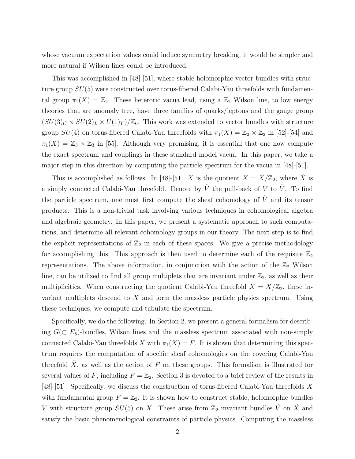whose vacuum expectation values could induce symmetry breaking, it would be simpler and more natural if Wilson lines could be introduced.

This was accomplished in [48]-[51], where stable holomorphic vector bundles with structure group  $SU(5)$  were constructed over torus-fibered Calabi-Yau threefolds with fundamental group  $\pi_1(X) = \mathbb{Z}_2$ . These heterotic vacua lead, using a  $\mathbb{Z}_2$  Wilson line, to low energy theories that are anomaly free, have three families of quarks/leptons and the gauge group  $(SU(3)_C \times SU(2)_L \times U(1)_Y)/\mathbb{Z}_6$ . This work was extended to vector bundles with structure group  $SU(4)$  on torus-fibered Calabi-Yau threefolds with  $\pi_1(X) = \mathbb{Z}_2 \times \mathbb{Z}_2$  in [52]-[54] and  $\pi_1(X) = \mathbb{Z}_3 \times \mathbb{Z}_3$  in [55]. Although very promising, it is essential that one now compute the exact spectrum and couplings in these standard model vacua. In this paper, we take a major step in this direction by computing the particle spectrum for the vacua in  $[48]-[51]$ .

This is accomplished as follows. In [48]-[51], X is the quotient  $X = \tilde{X}/\mathbb{Z}_2$ , where  $\tilde{X}$  is a simply connected Calabi-Yau threefold. Denote by  $\tilde{V}$  the pull-back of V to  $\tilde{V}$ . To find the particle spectrum, one must first compute the sheaf cohomology of  $\tilde{V}$  and its tensor products. This is a non-trivial task involving various techniques in cohomological algebra and algebraic geometry. In this paper, we present a systematic approach to such computations, and determine all relevant cohomology groups in our theory. The next step is to find the explicit representations of  $\mathbb{Z}_2$  in each of these spaces. We give a precise methodology for accomplishing this. This approach is then used to determine each of the requisite  $\mathbb{Z}_2$ representations. The above information, in conjunction with the action of the  $\mathbb{Z}_2$  Wilson line, can be utilized to find all group multiplets that are invariant under  $\mathbb{Z}_2$ , as well as their multiplicities. When constructing the quotient Calabi-Yau threefold  $X = \tilde{X}/\mathbb{Z}_2$ , these invariant multiplets descend to X and form the massless particle physics spectrum. Using these techniques, we compute and tabulate the spectrum.

Specifically, we do the following. In Section 2, we present a general formalism for describing  $G(\subset E_8)$ -bundles, Wilson lines and the massless spectrum associated with non-simply connected Calabi-Yau threefolds X with  $\pi_1(X) = F$ . It is shown that determining this spectrum requires the computation of specific sheaf cohomologies on the covering Calabi-Yau threefold  $\tilde{X}$ , as well as the action of F on these groups. This formalism is illustrated for several values of F, including  $F = \mathbb{Z}_2$ . Section 3 is devoted to a brief review of the results in [48]-[51]. Specifically, we discuss the construction of torus-fibered Calabi-Yau threefolds X with fundamental group  $F = \mathbb{Z}_2$ . It is shown how to construct stable, holomorphic bundles V with structure group  $SU(5)$  on X. These arise from  $\mathbb{Z}_2$  invariant bundles  $\tilde{V}$  on  $\tilde{X}$  and satisfy the basic phenomenological constraints of particle physics. Computing the massless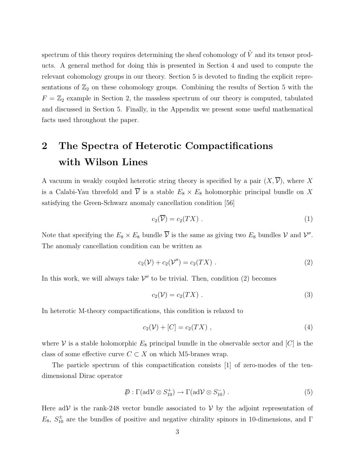spectrum of this theory requires determining the sheaf cohomology of  $\tilde{V}$  and its tensor products. A general method for doing this is presented in Section 4 and used to compute the relevant cohomology groups in our theory. Section 5 is devoted to finding the explicit representations of  $\mathbb{Z}_2$  on these cohomology groups. Combining the results of Section 5 with the  $F = \mathbb{Z}_2$  example in Section 2, the massless spectrum of our theory is computed, tabulated and discussed in Section 5. Finally, in the Appendix we present some useful mathematical facts used throughout the paper.

# 2 The Spectra of Heterotic Compactifications with Wilson Lines

A vacuum in weakly coupled heterotic string theory is specified by a pair  $(X, \overline{V})$ , where X is a Calabi-Yau threefold and  $\overline{V}$  is a stable  $E_8 \times E_8$  holomorphic principal bundle on X satisfying the Green-Schwarz anomaly cancellation condition [56]

$$
c_2(\overline{\mathcal{V}}) = c_2(TX) \tag{1}
$$

Note that specifying the  $E_8 \times E_8$  bundle  $\overline{V}$  is the same as giving two  $E_8$  bundles V and V''. The anomaly cancellation condition can be written as

$$
c_2(\mathcal{V}) + c_2(\mathcal{V}'') = c_2(TX) \ . \tag{2}
$$

In this work, we will always take  $V''$  to be trivial. Then, condition (2) becomes

$$
c_2(\mathcal{V}) = c_2(TX) \tag{3}
$$

In heterotic M-theory compactifications, this condition is relaxed to

$$
c_2(\mathcal{V}) + [C] = c_2(TX) \tag{4}
$$

where V is a stable holomorphic  $E_8$  principal bundle in the observable sector and [C] is the class of some effective curve  $C \subset X$  on which M5-branes wrap.

The particle spectrum of this compactification consists [1] of zero-modes of the tendimensional Dirac operator

$$
\mathcal{D} : \Gamma(\text{ad}\mathcal{V}\otimes S_{10}^+) \to \Gamma(\text{ad}\mathcal{V}\otimes S_{10}^-) . \tag{5}
$$

Here adV is the rank-248 vector bundle associated to  $V$  by the adjoint representation of  $E_8, S_{10}^{\pm}$  are the bundles of positive and negative chirality spinors in 10-dimensions, and  $\Gamma$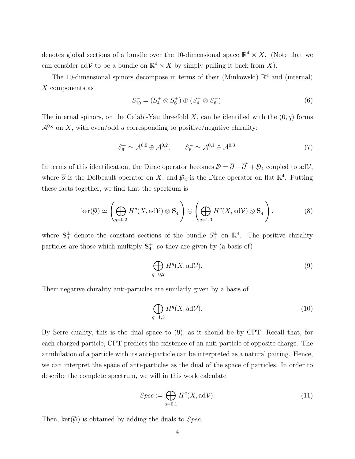denotes global sections of a bundle over the 10-dimensional space  $\mathbb{R}^4 \times X$ . (Note that we can consider adV to be a bundle on  $\mathbb{R}^4 \times X$  by simply pulling it back from X).

The 10-dimensional spinors decompose in terms of their (Minkowski)  $\mathbb{R}^4$  and (internal) X components as

$$
S_{10}^{+} = (S_4^{+} \otimes S_6^{+}) \oplus (S_4^{-} \otimes S_6^{-}).
$$
\n(6)

The internal spinors, on the Calabi-Yau threefold  $X$ , can be identified with the  $(0, q)$  forms  $\mathcal{A}^{0,q}$  on X, with even/odd q corresponding to positive/negative chirality:

$$
S_6^+ \simeq \mathcal{A}^{0,0} \oplus \mathcal{A}^{0,2}, \qquad S_6^- \simeq \mathcal{A}^{0,1} \oplus \mathcal{A}^{0,3}.
$$
 (7)

In terms of this identification, the Dirac operator becomes  $\bar{p} = \overline{\partial} + \overline{\partial}^* + \bar{p}_4$  coupled to adV, where  $\overline{\partial}$  is the Dolbeault operator on X, and  $\mathcal{D}_4$  is the Dirac operator on flat  $\mathbb{R}^4$ . Putting these facts together, we find that the spectrum is

$$
\ker(\mathcal{P}) \simeq \left(\bigoplus_{q=0,2} H^q(X, \mathrm{ad}\mathcal{V}) \otimes \mathbf{S}_4^+\right) \oplus \left(\bigoplus_{q=1,3} H^q(X, \mathrm{ad}\mathcal{V}) \otimes \mathbf{S}_4^-\right),\tag{8}
$$

where  $S_4^{\pm}$  denote the constant sections of the bundle  $S_4^{\pm}$  on  $\mathbb{R}^4$ . The positive chirality particles are those which multiply  $S_4^+$ , so they are given by (a basis of)

$$
\bigoplus_{q=0,2} H^q(X, \text{ad}\mathcal{V}).\tag{9}
$$

Their negative chirality anti-particles are similarly given by a basis of

$$
\bigoplus_{q=1,3} H^q(X, \text{ad}\mathcal{V}).\tag{10}
$$

By Serre duality, this is the dual space to (9), as it should be by CPT. Recall that, for each charged particle, CPT predicts the existence of an anti-particle of opposite charge. The annihilation of a particle with its anti-particle can be interpreted as a natural pairing. Hence, we can interpret the space of anti-particles as the dual of the space of particles. In order to describe the complete spectrum, we will in this work calculate

$$
Spec := \bigoplus_{q=0,1} H^q(X, \text{ad}\mathcal{V}).\tag{11}
$$

Then,  $\ker(\mathcal{D})$  is obtained by adding the duals to *Spec*.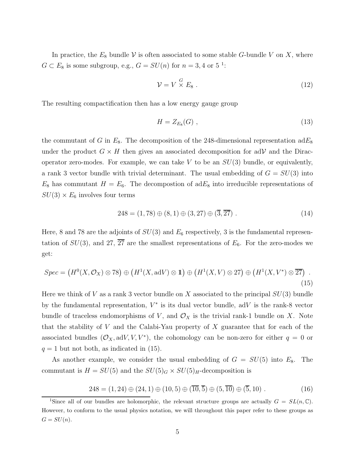In practice, the  $E_8$  bundle V is often associated to some stable G-bundle V on X, where  $G \subset E_8$  is some subgroup, e.g.,  $G = SU(n)$  for  $n = 3, 4$  or  $5^{-1}$ :

$$
\mathcal{V} = V \stackrel{G}{\times} E_8 \ . \tag{12}
$$

The resulting compactification then has a low energy gauge group

$$
H = Z_{E_8}(G) \tag{13}
$$

the commutant of G in  $E_8$ . The decomposition of the 248-dimensional representation ad $E_8$ under the product  $G \times H$  then gives an associated decomposition for adV and the Diracoperator zero-modes. For example, we can take  $V$  to be an  $SU(3)$  bundle, or equivalently, a rank 3 vector bundle with trivial determinant. The usual embedding of  $G = SU(3)$  into  $E_8$  has commutant  $H = E_6$ . The decompostion of ad $E_8$  into irreducible representations of  $SU(3) \times E_6$  involves four terms

$$
248 = (1,78) \oplus (8,1) \oplus (3,27) \oplus (\overline{3},\overline{27}) . \tag{14}
$$

Here, 8 and 78 are the adjoints of  $SU(3)$  and  $E_6$  respectively, 3 is the fundamental representation of  $SU(3)$ , and 27,  $\overline{27}$  are the smallest representations of  $E_6$ . For the zero-modes we get:

$$
Spec = (H^{0}(X, \mathcal{O}_{X}) \otimes 78) \oplus (H^{1}(X, \text{ad}V) \otimes 1) \oplus (H^{1}(X, V) \otimes 27) \oplus (H^{1}(X, V^{*}) \otimes 27) .
$$
\n(15)

Here we think of V as a rank 3 vector bundle on X associated to the principal  $SU(3)$  bundle by the fundamental representation,  $V^*$  is its dual vector bundle, adV is the rank-8 vector bundle of traceless endomorphisms of V, and  $\mathcal{O}_X$  is the trivial rank-1 bundle on X. Note that the stability of V and the Calabi-Yau property of X guarantee that for each of the associated bundles  $(\mathcal{O}_X, \text{ad}V, V, V^*)$ , the cohomology can be non-zero for either  $q = 0$  or  $q = 1$  but not both, as indicated in (15).

As another example, we consider the usual embedding of  $G = SU(5)$  into  $E_8$ . The commutant is  $H = SU(5)$  and the  $SU(5)_G \times SU(5)_H$ -decomposition is

$$
248 = (1,24) \oplus (24,1) \oplus (10,5) \oplus (\overline{10},\overline{5}) \oplus (5,\overline{10}) \oplus (\overline{5},10).
$$
 (16)

<sup>&</sup>lt;sup>1</sup>Since all of our bundles are holomorphic, the relevant structure groups are actually  $G = SL(n, \mathbb{C})$ . However, to conform to the usual physics notation, we will throughout this paper refer to these groups as  $G = SU(n).$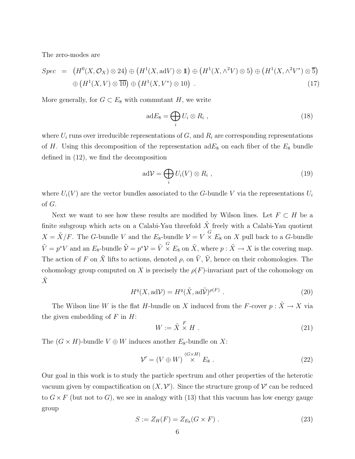The zero-modes are

$$
Spec = (H^0(X, \mathcal{O}_X) \otimes 24) \oplus (H^1(X, \text{ad}V) \otimes 1) \oplus (H^1(X, \wedge^2 V) \otimes 5) \oplus (H^1(X, \wedge^2 V^*) \otimes 5)
$$
  

$$
\oplus (H^1(X, V) \otimes 10) \oplus (H^1(X, V^*) \otimes 10).
$$
 (17)

More generally, for  $G \subset E_8$  with commutant H, we write

$$
adE_8 = \bigoplus_i U_i \otimes R_i , \qquad (18)
$$

where  $U_i$  runs over irreducible representations of  $G$ , and  $R_i$  are corresponding representations of H. Using this decomposition of the representation  $adE_8$  on each fiber of the  $E_8$  bundle defined in (12), we find the decomposition

$$
ad\mathcal{V} = \bigoplus_{i} U_i(V) \otimes R_i , \qquad (19)
$$

where  $U_i(V)$  are the vector bundles associated to the G-bundle V via the representations  $U_i$ of G.

Next we want to see how these results are modified by Wilson lines. Let  $F \subset H$  be a finite subgroup which acts on a Calabi-Yau threefold  $\tilde{X}$  freely with a Calabi-Yau quotient  $X = \tilde{X}/F$ . The G-bundle V and the  $E_8$ -bundle  $\mathcal{V} = V \times E_8$  on X pull back to a G-bundle  $\tilde{V} = p^*V$  and an  $E_8$ -bundle  $\tilde{\mathcal{V}} = p^*\mathcal{V} = \tilde{V} \times E_8$  on  $\tilde{X}$ , where  $p : \tilde{X} \to X$  is the covering map. The action of F on  $\tilde{X}$  lifts to actions, denoted  $\rho$ , on  $\tilde{V}$ ,  $\tilde{V}$ , hence on their cohomologies. The cohomology group computed on X is precisely the  $\rho(F)$ -invariant part of the cohomology on  $\tilde{X}$ 

$$
H^{q}(X, \text{ad}\mathcal{V}) = H^{q}(\tilde{X}, \text{ad}\tilde{\mathcal{V}})^{\rho(F)}.
$$
\n(20)

The Wilson line W is the flat H-bundle on X induced from the F-cover  $p : \tilde{X} \to X$  via the given embedding of  $F$  in  $H$ :

$$
W := \tilde{X} \times H \tag{21}
$$

The  $(G \times H)$ -bundle  $V \oplus W$  induces another  $E_8$ -bundle on X:

$$
\mathcal{V}' = (V \oplus W) \stackrel{(G \times H)}{\times} E_8 . \tag{22}
$$

Our goal in this work is to study the particle spectrum and other properties of the heterotic vacuum given by compactification on  $(X, \mathcal{V}')$ . Since the structure group of  $\mathcal{V}'$  can be reduced to  $G \times F$  (but not to G), we see in analogy with (13) that this vacuum has low energy gauge group

$$
S := Z_H(F) = Z_{E_8}(G \times F) \tag{23}
$$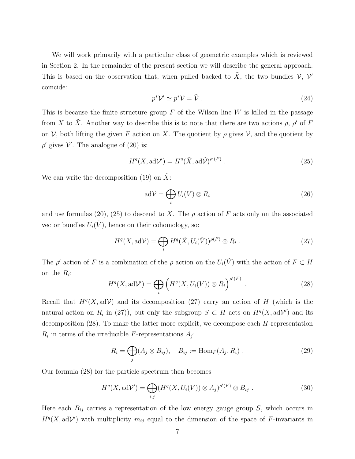We will work primarily with a particular class of geometric examples which is reviewed in Section 2. In the remainder of the present section we will describe the general approach. This is based on the observation that, when pulled backed to  $\tilde{X}$ , the two bundles  $\mathcal{V}, \mathcal{V}'$ coincide:

$$
p^* \mathcal{V}' \simeq p^* \mathcal{V} = \tilde{\mathcal{V}} \ . \tag{24}
$$

This is because the finite structure group  $F$  of the Wilson line  $W$  is killed in the passage from X to  $\tilde{X}$ . Another way to describe this is to note that there are two actions  $\rho$ ,  $\rho'$  of F on  $\tilde{\mathcal{V}}$ , both lifting the given F action on  $\tilde{X}$ . The quotient by  $\rho$  gives  $\mathcal{V}$ , and the quotient by  $\rho'$  gives  $\mathcal V'$ . The analogue of (20) is:

$$
H^{q}(X, \mathrm{ad}\mathcal{V}') = H^{q}(\tilde{X}, \mathrm{ad}\tilde{\mathcal{V}})^{\rho'(F)}.
$$
\n(25)

We can write the decomposition (19) on  $\tilde{X}$ :

$$
ad\tilde{\mathcal{V}} = \bigoplus_{i} U_i(\tilde{V}) \otimes R_i
$$
 (26)

and use formulas (20), (25) to descend to X. The  $\rho$  action of F acts only on the associated vector bundles  $U_i(\tilde{V})$ , hence on their cohomology, so:

$$
H^{q}(X, \text{ad}\mathcal{V}) = \bigoplus_{i} H^{q}(\tilde{X}, U_{i}(\tilde{V}))^{\rho(F)} \otimes R_{i} .
$$
 (27)

The  $\rho'$  action of F is a combination of the  $\rho$  action on the  $U_i(\tilde{V})$  with the action of  $F \subset H$ on the  $R_i$ :

$$
H^{q}(X, \mathrm{ad}\mathcal{V}') = \bigoplus_{i} \left( H^{q}(\tilde{X}, U_{i}(\tilde{V})) \otimes R_{i} \right)^{\rho'(F)} . \tag{28}
$$

Recall that  $H<sup>q</sup>(X, adV)$  and its decomposition (27) carry an action of H (which is the natural action on  $R_i$  in (27)), but only the subgroup  $S \subset H$  acts on  $H^q(X, \mathrm{ad}\mathcal{V}')$  and its decomposition  $(28)$ . To make the latter more explicit, we decompose each  $H$ -representation  $R_i$  in terms of the irreducible F-representations  $A_j$ :

$$
R_i = \bigoplus_j (A_j \otimes B_{ij}), \quad B_{ij} := \text{Hom}_F(A_j, R_i) \tag{29}
$$

Our formula (28) for the particle spectrum then becomes

$$
H^{q}(X, \text{ad}\mathcal{V}') = \bigoplus_{i,j} (H^{q}(\tilde{X}, U_{i}(\tilde{V})) \otimes A_{j})^{\rho'(F)} \otimes B_{ij} . \tag{30}
$$

Here each  $B_{ij}$  carries a representation of the low energy gauge group  $S$ , which occurs in  $H<sup>q</sup>(X, adV')$  with multiplicity  $m_{ij}$  equal to the dimension of the space of F-invariants in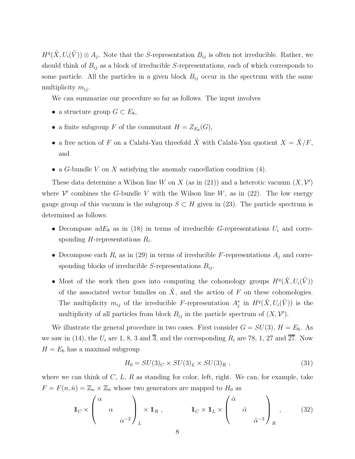$H^q(\tilde{X}, U_i(\tilde{V})) \otimes A_j$ . Note that the S-representation  $B_{ij}$  is often not irreducible. Rather, we should think of  $B_{ij}$  as a block of irreducible S-representations, each of which corresponds to some particle. All the particles in a given block  $B_{ij}$  occur in the spectrum with the same multiplicity  $m_{ij}$ .

We can summarize our procedure so far as follows. The input involves

- a structure group  $G \subset E_8$ ,
- a finite subgroup F of the commutant  $H = Z_{E_8}(G)$ ,
- a free action of F on a Calabi-Yau threefold  $\tilde{X}$  with Calabi-Yau quotient  $X = \tilde{X}/F$ , and
- a G-bundle V on X satisfying the anomaly cancellation condition  $(4)$ .

These data determine a Wilson line W on X (as in (21)) and a heterotic vacuum  $(X, Y)$ where  $\mathcal V'$  combines the G-bundle V with the Wilson line W, as in (22). The low energy gauge group of this vacuum is the subgroup  $S \subset H$  given in (23). The particle spectrum is determined as follows:

- Decompose ad $E_8$  as in (18) in terms of irreducible G-representations  $U_i$  and corresponding  $H$ -representations  $R_i$ .
- Decompose each  $R_i$  as in (29) in terms of irreducible F-representations  $A_j$  and corresponding blocks of irreducible S-representations  $B_{ij}$ .
- Most of the work then goes into computing the cohomology groups  $H^q(\tilde{X}, U_i(\tilde{V}))$ of the associated vector bundles on  $\tilde{X}$ , and the action of F on these cohomologies. The multiplicity  $m_{ij}$  of the irreducible F-representation  $A_j^*$  in  $H^q(\tilde{X}, U_i(\tilde{V}))$  is the multiplicity of all particles from block  $B_{ij}$  in the particle spectrum of  $(X, \mathcal{V}')$ .

We illustrate the general procedure in two cases. First consider  $G = SU(3)$ ,  $H = E_6$ . As we saw in (14), the  $U_i$  are 1, 8, 3 and  $\overline{3}$ , and the corresponding  $R_i$  are 78, 1, 27 and  $\overline{27}$ . Now  $H = E_6$  has a maximal subgroup

$$
H_0 = SU(3)_C \times SU(3)_L \times SU(3)_R , \qquad (31)
$$

where we can think of  $C, L, R$  as standing for color, left, right. We can, for example, take  $F = F(n, \hat{n}) = \mathbb{Z}_n \times \mathbb{Z}_{\hat{n}}$  whose two generators are mapped to  $H_0$  as

$$
\mathbb{1}_C \times \begin{pmatrix} \alpha & & \\ & \alpha & \\ & & \alpha^{-2} \end{pmatrix}_L \times \mathbb{1}_R , \qquad \mathbb{1}_C \times \mathbb{1}_L \times \begin{pmatrix} \hat{\alpha} & & \\ & \hat{\alpha} & \\ & & \hat{\alpha}^{-2} \end{pmatrix}_R , \qquad (32)
$$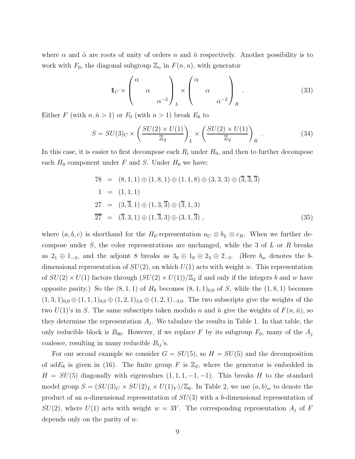where  $\alpha$  and  $\hat{\alpha}$  are roots of unity of orders n and  $\hat{n}$  respectively. Another possibility is to work with  $F_0$ , the diagonal subgroup  $\mathbb{Z}_n$  in  $F(n,n)$ , with generator

$$
\mathbb{1}_C \times \begin{pmatrix} \alpha & & \\ & \alpha & \\ & & \alpha^{-2} \end{pmatrix}_L \times \begin{pmatrix} \alpha & & \\ & \alpha & \\ & & \alpha^{-2} \end{pmatrix}_R . \tag{33}
$$

Either F (with  $n, \hat{n} > 1$ ) or  $F_0$  (with  $n > 1$ ) break  $E_6$  to

$$
S = SU(3)_C \times \left(\frac{SU(2) \times U(1)}{\mathbb{Z}_2}\right)_L \times \left(\frac{SU(2) \times U(1)}{\mathbb{Z}_2}\right)_R \tag{34}
$$

In this case, it is easier to first decompose each  $R_i$  under  $H_0$ , and then to further decompose each  $H_0$  component under F and S. Under  $H_0$  we have:

$$
78 = (8, 1, 1) \oplus (1, 8, 1) \oplus (1, 1, 8) \oplus (3, 3, 3) \oplus (\overline{3}, \overline{3}, \overline{3})
$$
  
\n
$$
1 = (1, 1, 1)
$$
  
\n
$$
27 = (3, \overline{3}, 1) \oplus (1, 3, \overline{3}) \oplus (\overline{3}, 1, 3)
$$
  
\n
$$
\overline{27} = (\overline{3}, 3, 1) \oplus (1, \overline{3}, 3) \oplus (3, 1, \overline{3}),
$$
  
\n(35)

where  $(a, b, c)$  is shorthand for the H<sub>0</sub>-representation  $a_C \otimes b_L \otimes c_R$ . When we further decompose under  $S$ , the color representations are unchanged, while the 3 of  $L$  or  $R$  breaks as  $2_1 \oplus 1_{-2}$ , and the adjoint 8 breaks as  $3_0 \oplus 1_0 \oplus 2_3 \oplus 2_{-3}$ . (Here  $b_w$  denotes the bdimensional representation of  $SU(2)$ , on which  $U(1)$  acts with weight w. This representation of  $SU(2) \times U(1)$  factors through  $(SU(2) \times U(1))/\mathbb{Z}_2$  if and only if the integers b and w have opposite parity.) So the  $(8,1,1)$  of  $H_0$  becomes  $(8,1,1)_{0,0}$  of S, while the  $(1,8,1)$  becomes  $(1, 3, 1)_{0,0} \oplus (1, 1, 1)_{0,0} \oplus (1, 2, 1)_{3,0} \oplus (1, 2, 1)_{-3,0}$ . The two subscripts give the weights of the two  $U(1)$ 's in S. The same subscripts taken modulo n and  $\hat{n}$  give the weights of  $F(n, \hat{n})$ , so they determine the representation  $A_j$ . We tabulate the results in Table 1. In that table, the only reducible block is  $B_{00}$ . However, if we replace F by its subgroup  $F_0$ , many of the  $A_j$ coalesce, resulting in many reducible  $B_{ij}$ 's.

For our second example we consider  $G = SU(5)$ , so  $H = SU(5)$  and the decomposition of ad $E_8$  is given in (16). The finite group F is  $\mathbb{Z}_2$ , where the generator is embedded in  $H = SU(5)$  diagonally with eigenvalues  $(1, 1, 1, -1, -1)$ . This breaks H to the standard model group  $S = (SU(3)_C \times SU(2)_L \times U(1)_Y)/\mathbb{Z}_6$ . In Table 2, we use  $(a, b)_w$  to denote the product of an a-dimensional representation of  $SU(3)$  with a b-dimensional representation of  $SU(2)$ , where  $U(1)$  acts with weight  $w = 3Y$ . The corresponding representation  $A_j$  of F depends only on the parity of w.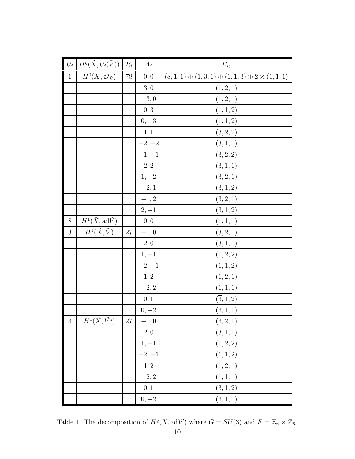|                | $U_i \mid H^q(\tilde{X}, U_i(\tilde{V})) \mid$ | $R_i$           | $A_j$    | $B_{ij}$                                                        |
|----------------|------------------------------------------------|-----------------|----------|-----------------------------------------------------------------|
| $\mathbf{1}$   | $H^0(\tilde{X}, \mathcal{O}_{\tilde{X}})$      | $78\,$          | 0,0      | $(8,1,1) \oplus (1,3,1) \oplus (1,1,3) \oplus 2 \times (1,1,1)$ |
|                |                                                |                 | 3,0      | (1, 2, 1)                                                       |
|                |                                                |                 | $-3,0$   | (1, 2, 1)                                                       |
|                |                                                |                 | 0,3      | (1, 1, 2)                                                       |
|                |                                                |                 | $0, -3$  | (1, 1, 2)                                                       |
|                |                                                |                 | 1,1      | (3, 2, 2)                                                       |
|                |                                                |                 | $-2, -2$ | (3, 1, 1)                                                       |
|                |                                                |                 | $-1, -1$ | $(\overline{3}, 2, 2)$                                          |
|                |                                                |                 | 2, 2     | $(\overline{3},1,1)$                                            |
|                |                                                |                 | $1, -2$  | (3, 2, 1)                                                       |
|                |                                                |                 | $-2,1$   | (3, 1, 2)                                                       |
|                |                                                |                 | $-1, 2$  | $(\overline{3}, 2, 1)$                                          |
|                |                                                |                 | $2, -1$  | $({\bf \overline{3}}, {\bf 1}, {\bf 2})$                        |
| $8\,$          | $H^1(\tilde{X}, \text{ad}\tilde{V})$           | $\mathbf{1}$    | 0,0      | (1, 1, 1)                                                       |
| $\sqrt{3}$     | $H^1(\tilde{X},\tilde{V})$                     | $27\,$          | $-1,0$   | (3, 2, 1)                                                       |
|                |                                                |                 | 2,0      | (3,1,1)                                                         |
|                |                                                |                 | $1, -1$  | (1, 2, 2)                                                       |
|                |                                                |                 | $-2, -1$ | (1, 1, 2)                                                       |
|                |                                                |                 | 1,2      | (1, 2, 1)                                                       |
|                |                                                |                 | $-2, 2$  | (1, 1, 1)                                                       |
|                |                                                |                 | 0,1      | $(\overline{3},1,2)$                                            |
|                |                                                |                 | $0, -2$  | $(\overline{3},1,1)$                                            |
| $\overline{3}$ | $H^1(\tilde{X},\tilde{V^*})$                   | $\overline{27}$ | $-1,0$   | $(\overline{3}, 2, 1)$                                          |
|                |                                                |                 | 2,0      | $(\overline{3}, 1, 1)$                                          |
|                |                                                |                 | $1, -1$  | (1, 2, 2)                                                       |
|                |                                                |                 | $-2, -1$ | (1, 1, 2)                                                       |
|                |                                                |                 | 1,2      | (1, 2, 1)                                                       |
|                |                                                |                 | $-2, 2$  | (1, 1, 1)                                                       |
|                |                                                |                 | 0,1      | (3, 1, 2)                                                       |
|                |                                                |                 | $0,-2$   | (3, 1, 1)                                                       |

Table 1: The decomposition of  $H^q(X, \text{ad}\mathcal{V}')$  where  $G = SU(3)$  and  $F = \mathbb{Z}_n \times \mathbb{Z}_{\hat{n}}$ .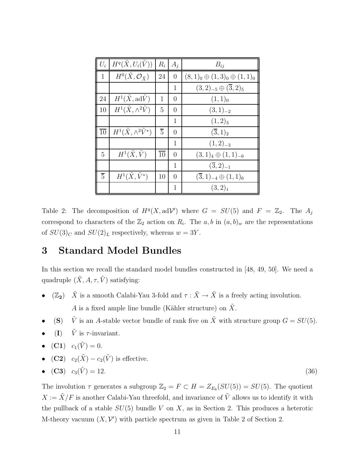| $U_i$           | $H^q(\tilde{X},U_i(\tilde{V}))$           | $R_i$           | $A_i$          | $B_{ij}$                                 |
|-----------------|-------------------------------------------|-----------------|----------------|------------------------------------------|
| $\mathbf{1}$    | $H^0(\tilde{X}, \mathcal{O}_{\tilde{X}})$ | 24              | $\overline{0}$ | $(8,1)_0 \oplus (1,3)_0 \oplus (1,1)_0$  |
|                 |                                           |                 | 1              | $(3,2)_{-5} \oplus (\overline{3},2)_{5}$ |
| 24              | $H^1(\tilde{X}, \text{ad}\tilde{V})$      | 1               | 0              | $(1,1)_0$                                |
| 10              | $H^1(\tilde{X}, \wedge^2 \tilde{V})$      | 5               | 0              | $(3,1)_{-2}$                             |
|                 |                                           |                 | 1              | $(1,2)_3$                                |
| $\overline{10}$ | $H^1(\tilde{X}, \wedge^2 \tilde{V}^*)$    | $\overline{5}$  | 0              | $(\overline{3},1)_2$                     |
|                 |                                           |                 | 1              | $(1,2)_{-3}$                             |
| 5               | $H^1(\tilde{X}, \tilde{V})$               | $\overline{10}$ | $\Omega$       | $(3,1)4 \oplus (1,1)-6$                  |
|                 |                                           |                 | 1              | $(\overline{3},2)_{-1}$                  |
| $\overline{5}$  | $H^1(\tilde{X}, \tilde{V}^*)$             | 10              | $\Omega$       | $(\overline{3},1)_{-4} \oplus (1,1)_6$   |
|                 |                                           |                 | 1              | $(3,2)_1$                                |

Table 2: The decomposition of  $H^q(X, \text{ad}\mathcal{V}')$  where  $G = SU(5)$  and  $F = \mathbb{Z}_2$ . The  $A_j$ correspond to characters of the  $\mathbb{Z}_2$  action on  $R_i$ . The  $a, b$  in  $(a, b)_w$  are the representations of  $SU(3)_C$  and  $SU(2)_L$  respectively, whereas  $w = 3Y$ .

## 3 Standard Model Bundles

In this section we recall the standard model bundles constructed in [48, 49, 50]. We need a quadruple  $(\tilde{X}, A, \tau, \tilde{V})$  satisfying:

- $(\mathbb{Z}_2)$   $\tilde{X}$  is a smooth Calabi-Yau 3-fold and  $\tau : \tilde{X} \to \tilde{X}$  is a freely acting involution. A is a fixed ample line bundle (Kähler structure) on  $\tilde{X}$ .
- (S)  $\tilde{V}$  is an A-stable vector bundle of rank five on  $\tilde{X}$  with structure group  $G = SU(5)$ .
- (I)  $\tilde{V}$  is  $\tau$ -invariant.
- (C1)  $c_1(\tilde{V}) = 0.$
- (C2)  $c_2(\tilde{X}) c_2(\tilde{V})$  is effective.
- $(C3)$   $c_3(\tilde{V}) = 12.$  (36)

The involution  $\tau$  generates a subgroup  $\mathbb{Z}_2 = F \subset H = Z_{E_8}(SU(5)) = SU(5)$ . The quotient  $X := \tilde{X}/F$  is another Calabi-Yau threefold, and invariance of  $\tilde{V}$  allows us to identify it with the pullback of a stable  $SU(5)$  bundle V on X, as in Section 2. This produces a heterotic M-theory vacuum  $(X, V')$  with particle spectrum as given in Table 2 of Section 2.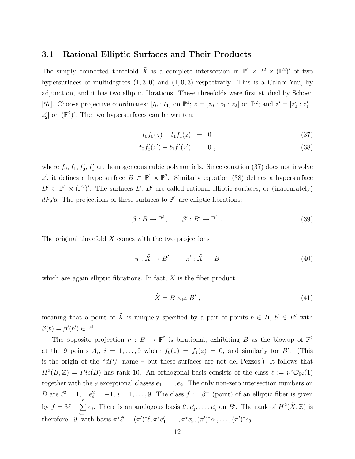#### 3.1 Rational Elliptic Surfaces and Their Products

The simply connected threefold  $\tilde{X}$  is a complete intersection in  $\mathbb{P}^1 \times \mathbb{P}^2 \times (\mathbb{P}^2)'$  of two hypersurfaces of multidegrees  $(1, 3, 0)$  and  $(1, 0, 3)$  respectively. This is a Calabi-Yau, by adjunction, and it has two elliptic fibrations. These threefolds were first studied by Schoen [57]. Choose projective coordinates:  $[t_0 : t_1]$  on  $\mathbb{P}^1$ ;  $z = [z_0 : z_1 : z_2]$  on  $\mathbb{P}^2$ ; and  $z' = [z'_0 : z_1 : z'_1]$  $y'_0: z'_1$  $\frac{1}{1}$ :  $z_2'$  $\binom{2}{2}$  on  $(\mathbb{P}^2)'$ . The two hypersurfaces can be written:

$$
t_0 f_0(z) - t_1 f_1(z) = 0 \tag{37}
$$

$$
t_0 f_0'(z') - t_1 f_1'(z') = 0 , \qquad (38)
$$

where  $f_0, f_1, f'_0, f'_1$  are homogeneous cubic polynomials. Since equation (37) does not involve z', it defines a hypersurface  $B \subset \mathbb{P}^1 \times \mathbb{P}^2$ . Similarly equation (38) defines a hypersurface  $B' \subset \mathbb{P}^1 \times (\mathbb{P}^2)'$ . The surfaces B, B' are called rational elliptic surfaces, or (inaccurately)  $dP_9$ 's. The projections of these surfaces to  $\mathbb{P}^1$  are elliptic fibrations:

$$
\beta: B \to \mathbb{P}^1, \qquad \beta': B' \to \mathbb{P}^1 \tag{39}
$$

The original threefold  $\tilde{X}$  comes with the two projections

$$
\pi: \tilde{X} \to B', \qquad \pi': \tilde{X} \to B \tag{40}
$$

which are again elliptic fibrations. In fact,  $\tilde{X}$  is the fiber product

$$
\tilde{X} = B \times_{\mathbb{P}^1} B',\tag{41}
$$

meaning that a point of  $\tilde{X}$  is uniquely specified by a pair of points  $b \in B$ ,  $b' \in B'$  with  $\beta(b) = \beta'(b') \in \mathbb{P}^1$ .

The opposite projection  $\nu : B \to \mathbb{P}^2$  is birational, exhibiting B as the blowup of  $\mathbb{P}^2$ at the 9 points  $A_i$ ,  $i = 1, ..., 9$  where  $f_0(z) = f_1(z) = 0$ , and similarly for B'. (This is the origin of the " $dP_9$ " name – but these surfaces are not del Pezzos.) It follows that  $H^2(B,\mathbb{Z}) = Pic(B)$  has rank 10. An orthogonal basis consists of the class  $\ell := \nu^* \mathcal{O}_{\mathbb{P}^2}(1)$ together with the 9 exceptional classes  $e_1, \ldots, e_9$ . The only non-zero intersection numbers on B are  $\ell^2 = 1$ ,  $e_i^2 = -1$ ,  $i = 1, ..., 9$ . The class  $f := \beta^{-1}(\text{point})$  of an elliptic fiber is given by  $f = 3\ell - \sum$ 9  $i=1$  $e_i$ . There is an analogous basis  $\ell', e'_1, \ldots, e'_9$  on B'. The rank of  $H^2(\tilde{X}, \mathbb{Z})$  is therefore 19, with basis  $\pi^* \ell' = (\pi')^* \ell, \pi^* e_1'$  $'_{1}, \ldots, \pi^{*}e'_{9}$  $g'_{9}, (\pi')^*e_1, \ldots, (\pi')^*e_9.$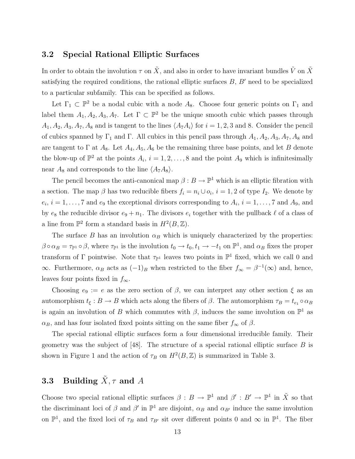#### 3.2 Special Rational Elliptic Surfaces

In order to obtain the involution  $\tau$  on  $\tilde{X}$ , and also in order to have invariant bundles  $\tilde{V}$  on  $\tilde{X}$ satisfying the required conditions, the rational elliptic surfaces  $B, B'$  need to be specialized to a particular subfamily. This can be specified as follows.

Let  $\Gamma_1 \subset \mathbb{P}^2$  be a nodal cubic with a node  $A_8$ . Choose four generic points on  $\Gamma_1$  and label them  $A_1, A_2, A_3, A_7$ . Let  $\Gamma \subset \mathbb{P}^2$  be the unique smooth cubic which passes through  $A_1, A_2, A_3, A_7, A_8$  and is tangent to the lines  $\langle A_7A_i \rangle$  for  $i = 1, 2, 3$  and 8. Consider the pencil of cubics spanned by  $\Gamma_1$  and  $\Gamma$ . All cubics in this pencil pass through  $A_1, A_2, A_3, A_7, A_8$  and are tangent to  $\Gamma$  at  $A_8$ . Let  $A_4$ ,  $A_5$ ,  $A_6$  be the remaining three base points, and let B denote the blow-up of  $\mathbb{P}^2$  at the points  $A_i$ ,  $i = 1, 2, ..., 8$  and the point  $A_9$  which is infinitesimally near  $A_8$  and corresponds to the line  $\langle A_7A_8\rangle$ .

The pencil becomes the anti-canonical map  $\beta : B \to \mathbb{P}^1$  which is an elliptic fibration with a section. The map  $\beta$  has two reducible fibers  $f_i = n_i \cup o_i$ ,  $i = 1, 2$  of type  $I_2$ . We denote by  $e_i, i = 1, \ldots, 7$  and  $e_9$  the exceptional divisors corresponding to  $A_i, i = 1, \ldots, 7$  and  $A_9$ , and by  $e_8$  the reducible divisor  $e_9 + n_1$ . The divisors  $e_i$  together with the pullback  $\ell$  of a class of a line from  $\mathbb{P}^2$  form a standard basis in  $H^2(B, \mathbb{Z})$ .

The surface B has an involution  $\alpha_B$  which is uniquely characterized by the properties:  $\beta \circ \alpha_B = \tau_{\mathbb{P}^1} \circ \beta$ , where  $\tau_{\mathbb{P}^1}$  is the involution  $t_0 \to t_0, t_1 \to -t_1$  on  $\mathbb{P}^1$ , and  $\alpha_B$  fixes the proper transform of  $\Gamma$  pointwise. Note that  $\tau_{\mathbb{P}^1}$  leaves two points in  $\mathbb{P}^1$  fixed, which we call 0 and  $\infty$ . Furthermore,  $\alpha_B$  acts as  $(-1)_B$  when restricted to the fiber  $f_{\infty} = \beta^{-1}(\infty)$  and, hence, leaves four points fixed in  $f_{\infty}$ .

Choosing  $e_9 := e$  as the zero section of  $\beta$ , we can interpret any other section  $\xi$  as an automorphism  $t_{\xi}: B \to B$  which acts along the fibers of  $\beta$ . The automorphism  $\tau_B = t_{e_1} \circ \alpha_B$ is again an involution of B which commutes with  $\beta$ , induces the same involution on  $\mathbb{P}^1$  as  $\alpha_B$ , and has four isolated fixed points sitting on the same fiber  $f_\infty$  of  $\beta$ .

The special rational elliptic surfaces form a four dimensional irreducible family. Their geometry was the subject of [48]. The structure of a special rational elliptic surface  $B$  is shown in Figure 1 and the action of  $\tau_B$  on  $H^2(B, \mathbb{Z})$  is summarized in Table 3.

### **3.3** Building  $\tilde{X}, \tau$  and A

Choose two special rational elliptic surfaces  $\beta: B \to \mathbb{P}^1$  and  $\beta': B' \to \mathbb{P}^1$  in  $\tilde{X}$  so that the discriminant loci of  $\beta$  and  $\beta'$  in  $\mathbb{P}^1$  are disjoint,  $\alpha_B$  and  $\alpha_{B'}$  induce the same involution on  $\mathbb{P}^1$ , and the fixed loci of  $\tau_B$  and  $\tau_{B'}$  sit over different points 0 and  $\infty$  in  $\mathbb{P}^1$ . The fiber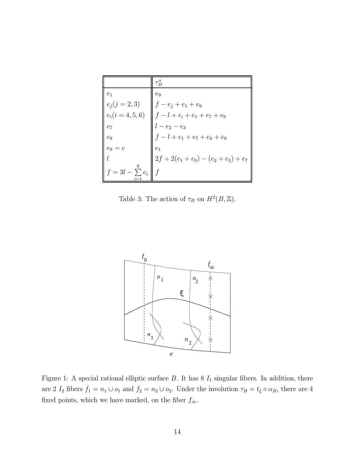|                    | $\tau_B^*$                         |
|--------------------|------------------------------------|
| e <sub>1</sub>     | $e_9$                              |
| $e_j (j = 2, 3)$   | $f - e_j + e_1 + e_9$              |
| $e_i(i = 4, 5, 6)$ | $\  f - l + e_i + e_1 + e_7 + e_9$ |
| $e_7$              | $l - e_2 - e_3$                    |
| $e_8$              | $f-l+e_1+e_7+e_8+e_9$              |
| $e_9=e$            | e <sub>1</sub>                     |
|                    | $2f+2(e_1+e_9)-(e_2+e_3)+e_7$      |
| $=3l-\sum e_i$     |                                    |

Table 3: The action of  $\tau_B$  on  $H^2(B, \mathbb{Z})$ .



Figure 1: A special rational elliptic surface  $B$ . It has 8  $I_1$  singular fibers. In addition, there are 2  $I_2$  fibers  $f_1 = n_1 \cup o_1$  and  $f_2 = n_2 \cup o_2$ . Under the involution  $\tau_B = t_{\xi} \circ \alpha_B$ , there are 4 fixed points, which we have marked, on the fiber  $f_\infty.$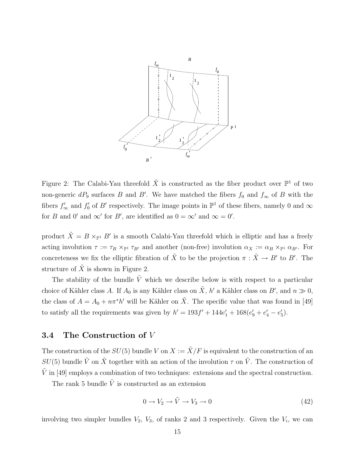

Figure 2: The Calabi-Yau threefold  $\tilde{X}$  is constructed as the fiber product over  $\mathbb{P}^1$  of two non-generic  $dP_9$  surfaces B and B'. We have matched the fibers  $f_0$  and  $f_{\infty}$  of B with the fibers  $f'_{\infty}$  and  $f'_{0}$  $\mathcal{O}_0'$  of B' respectively. The image points in  $\mathbb{P}^1$  of these fibers, namely 0 and  $\infty$ for B and 0' and  $\infty'$  for B', are identified as  $0 = \infty'$  and  $\infty = 0'$ .

product  $\tilde{X} = B \times_{\mathbb{P}^1} B'$  is a smooth Calabi-Yau threefold which is elliptic and has a freely acting involution  $\tau := \tau_B \times_{\mathbb{P}^1} \tau_{B'}$  and another (non-free) involution  $\alpha_X := \alpha_B \times_{\mathbb{P}^1} \alpha_{B'}$ . For concreteness we fix the elliptic fibration of  $\tilde{X}$  to be the projection  $\pi : \tilde{X} \to B'$  to B'. The structure of  $\tilde{X}$  is shown in Figure 2.

The stability of the bundle  $\tilde{V}$  which we describe below is with respect to a particular choice of Kähler class A. If  $A_0$  is any Kähler class on  $\tilde{X}$ , h' a Kähler class on  $B'$ , and  $n \gg 0$ , the class of  $A = A_0 + n\pi^* h'$  will be Kähler on  $\tilde{X}$ . The specific value that was found in [49] to satisfy all the requirements was given by  $h' = 193f' + 144e'_1 + 168(e'_9 + e'_4 - e'_5)$  $'_{5}$ .

#### 3.4 The Construction of V

The construction of the  $SU(5)$  bundle V on  $X := \tilde{X}/F$  is equivalent to the construction of an  $SU(5)$  bundle  $\tilde{V}$  on  $\tilde{X}$  together with an action of the involution  $\tau$  on  $\tilde{V}$ . The construction of  $\hat{V}$  in [49] employs a combination of two techniques: extensions and the spectral construction.

The rank 5 bundle  $\tilde{V}$  is constructed as an extension

$$
0 \to V_2 \to \tilde{V} \to V_3 \to 0 \tag{42}
$$

involving two simpler bundles  $V_2$ ,  $V_3$ , of ranks 2 and 3 respectively. Given the  $V_i$ , we can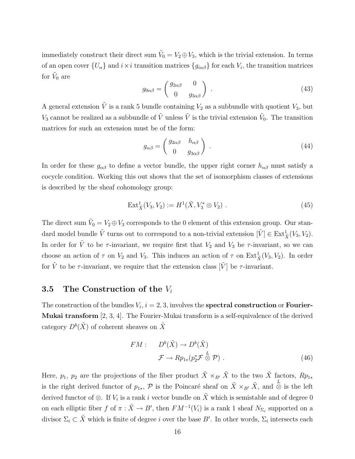immediately construct their direct sum  $\tilde{V}_0 = V_2 \oplus V_3$ , which is the trivial extension. In terms of an open cover  $\{U_\alpha\}$  and  $i \times i$  transition matrices  $\{g_{i\alpha\beta}\}$  for each  $V_i$ , the transition matrices for  $\tilde{V}_0$  are

$$
g_{0\alpha\beta} = \begin{pmatrix} g_{2\alpha\beta} & 0 \\ 0 & g_{3\alpha\beta} \end{pmatrix} . \tag{43}
$$

A general extension  $\tilde{V}$  is a rank 5 bundle containing  $V_2$  as a subbundle with quotient  $V_3$ , but  $V_3$  cannot be realized as a subbundle of  $\tilde{V}$  unless  $\tilde{V}$  is the trivial extension  $\tilde{V}_0$ . The transition matrices for such an extension must be of the form:

$$
g_{\alpha\beta} = \begin{pmatrix} g_{2\alpha\beta} & h_{\alpha\beta} \\ 0 & g_{3\alpha\beta} \end{pmatrix} . \tag{44}
$$

In order for these  $g_{\alpha\beta}$  to define a vector bundle, the upper right corner  $h_{\alpha\beta}$  must satisfy a cocycle condition. Working this out shows that the set of isomorphism classes of extensions is described by the sheaf cohomology group:

$$
Ext^1_{\tilde{X}}(V_3, V_2) := H^1(\tilde{X}, V_3^* \otimes V_2).
$$
 (45)

The direct sum  $\tilde{V}_0 = V_2 \oplus V_3$  corresponds to the 0 element of this extension group. Our standard model bundle  $\tilde{V}$  turns out to correspond to a non-trivial extension  $[\tilde{V}] \in \text{Ext}^1_{\tilde{X}}(V_3, V_2)$ . In order for  $\tilde{V}$  to be  $\tau$ -invariant, we require first that  $V_2$  and  $V_3$  be  $\tau$ -invariant, so we can choose an action of  $\tau$  on  $V_2$  and  $V_3$ . This induces an action of  $\tau$  on  $\text{Ext}^1_{\tilde{X}}(V_3, V_2)$ . In order for  $\tilde{V}$  to be  $\tau$ -invariant, we require that the extension class  $[\tilde{V}]$  be  $\tau$ -invariant.

#### 3.5 The Construction of the  $V_i$

The construction of the bundles  $V_i$ ,  $i = 2, 3$ , involves the **spectral construction** or **Fourier**-Mukai transform [2, 3, 4]. The Fourier-Mukai transform is a self-equivalence of the derived category  $D^b(\tilde{X})$  of coherent sheaves on  $\tilde{X}$ 

$$
FM: \tD^b(\tilde{X}) \to D^b(\tilde{X})
$$
  

$$
\mathcal{F} \to Rp_{1*}(p_2^* \mathcal{F} \overset{L}{\otimes} \mathcal{P}) .
$$
 (46)

Here,  $p_1$ ,  $p_2$  are the projections of the fiber product  $\tilde{X} \times_{B'} \tilde{X}$  to the two  $\tilde{X}$  factors,  $Rp_{1*}$ is the right derived functor of  $p_{1*}$ ,  $\mathcal{P}$  is the Poincaré sheaf on  $\tilde{X} \times_{B'} \tilde{X}$ , and  $\stackrel{L}{\otimes}$  is the left derived functor of ⊗. If  $V_i$  is a rank i vector bundle on  $\tilde{X}$  which is semistable and of degree 0 on each elliptic fiber f of  $\pi : \tilde{X} \to B'$ , then  $FM^{-1}(V_i)$  is a rank 1 sheaf  $N_{\Sigma_i}$  supported on a divisor  $\Sigma_i \subset \tilde{X}$  which is finite of degree i over the base B'. In other words,  $\Sigma_i$  intersects each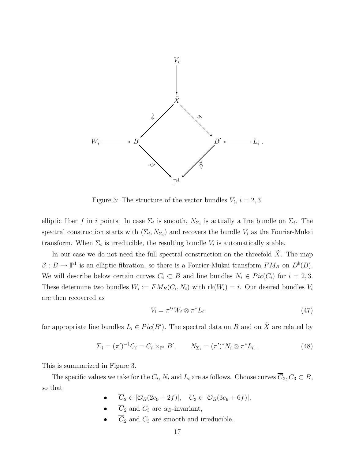

Figure 3: The structure of the vector bundles  $V_i$ ,  $i = 2, 3$ .

elliptic fiber f in i points. In case  $\Sigma_i$  is smooth,  $N_{\Sigma_i}$  is actually a line bundle on  $\Sigma_i$ . The spectral construction starts with  $(\Sigma_i, N_{\Sigma_i})$  and recovers the bundle  $V_i$  as the Fourier-Mukai transform. When  $\Sigma_i$  is irreducible, the resulting bundle  $V_i$  is automatically stable.

In our case we do not need the full spectral construction on the threefold  $X$ . The map  $\beta: B \to \mathbb{P}^1$  is an elliptic fibration, so there is a Fourier-Mukai transform  $FM_B$  on  $D^b(B)$ . We will describe below certain curves  $C_i \subset B$  and line bundles  $N_i \in Pic(C_i)$  for  $i = 2, 3$ . These determine two bundles  $W_i := F M_B(C_i, N_i)$  with  $rk(W_i) = i$ . Our desired bundles  $V_i$ are then recovered as

$$
V_i = \pi^{\prime *} W_i \otimes \pi^* L_i \tag{47}
$$

for appropriate line bundles  $L_i \in Pic(B')$ . The spectral data on B and on  $\tilde{X}$  are related by

$$
\Sigma_i = (\pi')^{-1} C_i = C_i \times_{\mathbb{P}^1} B', \qquad N_{\Sigma_i} = (\pi')^* N_i \otimes \pi^* L_i . \tag{48}
$$

This is summarized in Figure 3.

The specific values we take for the  $C_i$ ,  $N_i$  and  $L_i$  are as follows. Choose curves  $C_2, C_3 \subset B$ , so that

- $\overline{C}_2 \in |\mathcal{O}_B(2e_9 + 2f)|$ ,  $C_3 \in |\mathcal{O}_B(3e_9 + 6f)|$ ,
- $\overline{C}_2$  and  $C_3$  are  $\alpha_B$ -invariant,
- $\overline{C}_2$  and  $C_3$  are smooth and irreducible.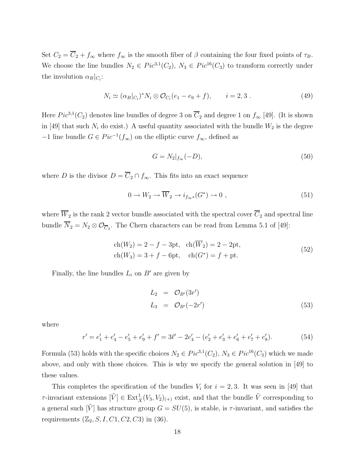Set  $C_2 = \overline{C}_2 + f_{\infty}$  where  $f_{\infty}$  is the smooth fiber of  $\beta$  containing the four fixed points of  $\tau_B$ . We choose the line bundles  $N_2 \in Pic^{3,1}(C_2)$ ,  $N_3 \in Pic^{16}(C_3)$  to transform correctly under the involution  $\alpha_B|_{C_i}$ :

$$
N_i \simeq (\alpha_B|_{C_i})^* N_i \otimes \mathcal{O}_{C_i}(e_1 - e_9 + f), \qquad i = 2, 3. \tag{49}
$$

Here  $Pic^{3,1}(C_2)$  denotes line bundles of degree 3 on  $\overline{C}_2$  and degree 1 on  $f_{\infty}$  [49]. (It is shown in [49] that such  $N_i$  do exist.) A useful quantity associated with the bundle  $W_2$  is the degree −1 line bundle  $G \in Pic^{-1}(f_{\infty})$  on the elliptic curve  $f_{\infty}$ , defined as

$$
G = N_2|_{f_\infty}(-D),\tag{50}
$$

where D is the divisor  $D = \overline{C}_2 \cap f_{\infty}$ . This fits into an exact sequence

$$
0 \to W_2 \to \overline{W}_2 \to i_{f_{\infty}*}(G^*) \to 0 , \qquad (51)
$$

where  $\overline{W}_2$  is the rank 2 vector bundle associated with the spectral cover  $\overline{C}_2$  and spectral line bundle  $N_2 = N_2 \otimes \mathcal{O}_{\overline{C}_2}$ . The Chern characters can be read from Lemma 5.1 of [49]:

$$
ch(W_2) = 2 - f - 3pt, ch(\overline{W}_2) = 2 - 2pt,ch(W_3) = 3 + f - 6pt, ch(G^*) = f + pt.
$$
\n(52)

Finally, the line bundles  $L_i$  on  $B'$  are given by

$$
L_2 = \mathcal{O}_{B'}(3r')
$$
  
\n
$$
L_3 = \mathcal{O}_{B'}(-2r')
$$
\n(53)

where

$$
r' = e'_1 + e'_4 - e'_5 + e'_9 + f' = 3\ell' - 2e'_4 - (e'_2 + e'_3 + e'_6 + e'_7 + e'_8). \tag{54}
$$

Formula (53) holds with the specific choices  $N_2 \in Pic^{3,1}(C_2)$ ,  $N_3 \in Pic^{16}(C_3)$  which we made above, and only with those choices. This is why we specify the general solution in [49] to these values.

This completes the specification of the bundles  $V_i$  for  $i = 2, 3$ . It was seen in [49] that  $\tau$ -invariant extensions  $[\tilde{V}] \in \text{Ext}_{\tilde{X}}^1(V_3, V_2)_{(+)}$  exist, and that the bundle  $\tilde{V}$  corresponding to a general such  $\tilde{V}$  has structure group  $G = SU(5)$ , is stable, is  $\tau$ -invariant, and satisfies the requirements  $(\mathbb{Z}_2, S, I, C1, C2, C3)$  in (36).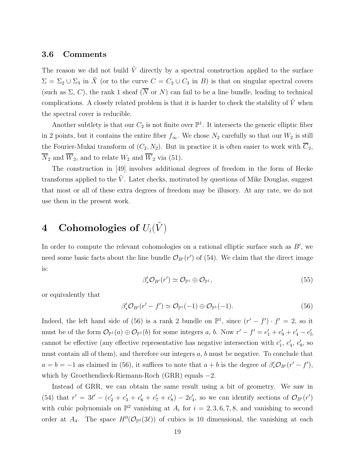#### 3.6 Comments

The reason we did not build  $\tilde{V}$  directly by a spectral construction applied to the surface  $\Sigma = \Sigma_2 \cup \Sigma_3$  in  $\tilde{X}$  (or to the curve  $C = C_2 \cup C_3$  in B) is that on singular spectral covers (such as  $\Sigma$ , C), the rank 1 sheaf ( $\overline{N}$  or N) can fail to be a line bundle, leading to technical complications. A closely related problem is that it is harder to check the stability of  $\tilde{V}$  when the spectral cover is reducible.

Another subtlety is that our  $C_2$  is not finite over  $\mathbb{P}^1$ . It intersects the generic elliptic fiber in 2 points, but it contains the entire fiber  $f_{\infty}$ . We chose  $N_2$  carefully so that our  $W_2$  is still the Fourier-Mukai transform of  $(C_2, N_2)$ . But in practice it is often easier to work with  $\overline{C}_2$ ,  $\overline{N}_2$  and  $\overline{W}_2$ , and to relate  $W_2$  and  $\overline{W}_2$  via (51).

The construction in [49] involves additional degrees of freedom in the form of Hecke transforms applied to the  $\tilde{V}$ . Later checks, motivated by questions of Mike Douglas, suggest that most or all of these extra degrees of freedom may be illusory. At any rate, we do not use them in the present work.

# 4 Cohomologies of  $U_i(\tilde{V})$

In order to compute the relevant cohomologies on a rational elliptic surface such as  $B'$ , we need some basic facts about the line bundle  $\mathcal{O}_{B'}(r')$  of (54). We claim that the direct image is:

$$
\beta'_* \mathcal{O}_{B'}(r') \simeq \mathcal{O}_{\mathbb{P}^1} \oplus \mathcal{O}_{\mathbb{P}^1},\tag{55}
$$

or equivalently that

$$
\beta'_* \mathcal{O}_{B'}(r'-f') \simeq \mathcal{O}_{\mathbb{P}^1}(-1) \oplus \mathcal{O}_{\mathbb{P}^1}(-1). \tag{56}
$$

Indeed, the left hand side of (56) is a rank 2 bundle on  $\mathbb{P}^1$ , since  $(r'-f') \cdot f' = 2$ , so it must be of the form  $\mathcal{O}_{\mathbb{P}^1}(a) \oplus \mathcal{O}_{\mathbb{P}^1}(b)$  for some integers a, b. Now  $r'-f' = e'_1 + e'_9 + e'_4 - e'_5$ 5 cannot be effective (any effective representative has negative intersection with  $e'_1$  $'_{1}, e'_{4}$  $'_{4}$ ,  $e'_{9}$  $_{9}^{\prime}$ , so must contain all of them), and therefore our integers  $a, b$  must be negative. To conclude that  $a = b = -1$  as claimed in (56), it suffices to note that  $a + b$  is the degree of  $\beta'_* \mathcal{O}_{B'}(r' - f')$ , which by Groethendieck-Riemann-Roch (GRR) equals  $-2$ .

Instead of GRR, we can obtain the same result using a bit of geometry. We saw in (54) that  $r' = 3\ell' - (e'_2 + e'_3 + e'_6 + e'_7 + e'_8)$  $(s) - 2e'$  $\mathcal{O}_{A'}$ , so we can identify sections of  $\mathcal{O}_{B'}(r')$ with cubic polynomials on  $\mathbb{P}^2$  vanishing at  $A_i$  for  $i = 2, 3, 6, 7, 8$ , and vanishing to second order at  $A_4$ . The space  $H^0(\mathcal{O}_{\mathbb{P}^2}(3\ell))$  of cubics is 10 dimensional, the vanishing at each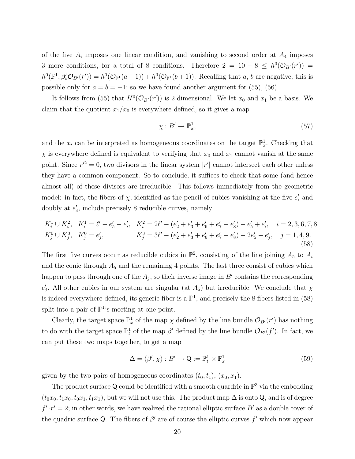of the five  $A_i$  imposes one linear condition, and vanishing to second order at  $A_4$  imposes 3 more conditions, for a total of 8 conditions. Therefore  $2 = 10 - 8 \le h^0(\mathcal{O}_{B'}(r')) =$  $h^0(\mathbb{P}^1, \beta_*^{\prime} \mathcal{O}_{B'}(r')) = h^0(\mathcal{O}_{\mathbb{P}^1}(a+1)) + h^0(\mathcal{O}_{\mathbb{P}^1}(b+1)).$  Recalling that a, b are negative, this is possible only for  $a = b = -1$ ; so we have found another argument for (55), (56).

It follows from (55) that  $H^0(\mathcal{O}_{B'}(r'))$  is 2 dimensional. We let  $x_0$  and  $x_1$  be a basis. We claim that the quotient  $x_1/x_0$  is everywhere defined, so it gives a map

$$
\chi: B' \to \mathbb{P}^1_x,\tag{57}
$$

and the  $x_i$  can be interpreted as homogeneous coordinates on the target  $\mathbb{P}_x^1$ . Checking that  $\chi$  is everywhere defined is equivalent to verifying that  $x_0$  and  $x_1$  cannot vanish at the same point. Since  $r^2 = 0$ , two divisors in the linear system  $|r'|$  cannot intersect each other unless they have a common component. So to conclude, it suffices to check that some (and hence almost all) of these divisors are irreducible. This follows immediately from the geometric model: in fact, the fibers of  $\chi$ , identified as the pencil of cubics vanishing at the five  $e_i'$  $i$  and doubly at  $e'_{\xi}$ 4 , include precisely 8 reducible curves, namely:

$$
K_i^1 \cup K_i^2, \quad K_i^1 = \ell' - e'_5 - e'_i, \quad K_i^2 = 2\ell' - (e'_2 + e'_3 + e'_6 + e'_7 + e'_8) - e'_5 + e'_i, \quad i = 2, 3, 6, 7, 8
$$
  
\n
$$
K_j^0 \cup K_j^3, \quad K_j^0 = e'_j, \quad K_j^3 = 3\ell' - (e'_2 + e'_3 + e'_6 + e'_7 + e'_8) - 2e'_5 - e'_j, \quad j = 1, 4, 9.
$$
  
\n(58)

The first five curves occur as reducible cubics in  $\mathbb{P}^2$ , consisting of the line joining  $A_5$  to  $A_i$ and the conic through  $A_5$  and the remaining 4 points. The last three consist of cubics which happen to pass through one of the  $A_j$ , so their inverse image in  $B'$  contains the corresponding  $e'$ '<sub>j</sub>. All other cubics in our system are singular (at  $A_5$ ) but irreducible. We conclude that  $\chi$ is indeed everywhere defined, its generic fiber is a  $\mathbb{P}^1$ , and precisely the 8 fibers listed in (58) split into a pair of  $\mathbb{P}^1$ 's meeting at one point.

Clearly, the target space  $\mathbb{P}_x^1$  of the map  $\chi$  defined by the line bundle  $\mathcal{O}_{B'}(r')$  has nothing to do with the target space  $\mathbb{P}^1_t$  of the map  $\beta'$  defined by the line bundle  $\mathcal{O}_{B'}(f')$ . In fact, we can put these two maps together, to get a map

$$
\Delta = (\beta', \chi) : B' \to \mathsf{Q} := \mathbb{P}_t^1 \times \mathbb{P}_x^1 \tag{59}
$$

given by the two pairs of homogeneous coordinates  $(t_0, t_1)$ ,  $(x_0, x_1)$ .

The product surface Q could be identified with a smooth quardric in  $\mathbb{P}^3$  via the embedding  $(t_0x_0, t_1x_0, t_0x_1, t_1x_1)$ , but we will not use this. The product map  $\Delta$  is onto Q, and is of degree  $f' \cdot r' = 2$ ; in other words, we have realized the rational elliptic surface B' as a double cover of the quadric surface Q. The fibers of  $\beta'$  are of course the elliptic curves  $f'$  which now appear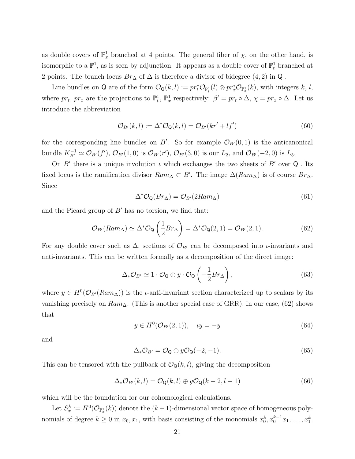as double covers of  $\mathbb{P}_x^1$  branched at 4 points. The general fiber of  $\chi$ , on the other hand, is isomorphic to a  $\mathbb{P}^1$ , as is seen by adjunction. It appears as a double cover of  $\mathbb{P}^1_t$  branched at 2 points. The branch locus  $Br_{\Delta}$  of  $\Delta$  is therefore a divisor of bidegree (4, 2) in Q.

Line bundles on Q are of the form  $\mathcal{O}_{\mathbf{Q}}(k,l) := pr_t^* \mathcal{O}_{\mathbb{P}_t^1}(l) \otimes pr_x^* \mathcal{O}_{\mathbb{P}_x^1}(k)$ , with integers k, l, where  $pr_t$ ,  $pr_x$  are the projections to  $\mathbb{P}^1_t$ ,  $\mathbb{P}^1_x$  respectively:  $\beta' = pr_t \circ \Delta$ ,  $\chi = pr_x \circ \Delta$ . Let us introduce the abbreviation

$$
\mathcal{O}_{B'}(k,l) := \Delta^* \mathcal{O}_{\mathbf{Q}}(k,l) = \mathcal{O}_{B'}(kr' + lf')
$$
\n(60)

for the corresponding line bundles on B'. So for example  $\mathcal{O}_{B'}(0,1)$  is the anticanonical bundle  $K_{B'}^{-1} \simeq \mathcal{O}_{B'}(f'), \, \mathcal{O}_{B'}(1,0)$  is  $\mathcal{O}_{B'}(r'), \, \mathcal{O}_{B'}(3,0)$  is our  $L_2$ , and  $\mathcal{O}_{B'}(-2,0)$  is  $L_3$ .

On  $B'$  there is a unique involution  $\iota$  which exchanges the two sheets of  $B'$  over Q. Its fixed locus is the ramification divisor  $Ram_\Delta \subset B'$ . The image  $\Delta(Ram_\Delta)$  is of course  $Br_\Delta$ . Since

$$
\Delta^* \mathcal{O}_\mathbf{Q}(Br_\Delta) = \mathcal{O}_{B'}(2Ram_\Delta) \tag{61}
$$

and the Picard group of  $B'$  has no torsion, we find that:

$$
\mathcal{O}_{B'}(Ram_{\Delta}) \simeq \Delta^* \mathcal{O}_\mathbf{Q} \left(\frac{1}{2}Br_\Delta\right) = \Delta^* \mathcal{O}_\mathbf{Q}(2, 1) = \mathcal{O}_{B'}(2, 1). \tag{62}
$$

For any double cover such as  $\Delta$ , sections of  $\mathcal{O}_{B'}$  can be decomposed into *ι*-invariants and anti-invariants. This can be written formally as a decomposition of the direct image:

$$
\Delta_* \mathcal{O}_{B'} \simeq 1 \cdot \mathcal{O}_{\mathsf{Q}} \oplus y \cdot \mathcal{O}_{\mathsf{Q}} \left( -\frac{1}{2} B r_{\Delta} \right), \tag{63}
$$

where  $y \in H^0(\mathcal{O}_{B'}(Ram_\Delta))$  is the *t*-anti-invariant section characterized up to scalars by its vanishing precisely on  $Ram_{\Delta}$ . (This is another special case of GRR). In our case, (62) shows that

$$
y \in H^0(\mathcal{O}_{B'}(2, 1)), \quad \iota y = -y
$$
 (64)

and

$$
\Delta_* \mathcal{O}_{B'} = \mathcal{O}_{\mathsf{Q}} \oplus y \mathcal{O}_{\mathsf{Q}}(-2, -1). \tag{65}
$$

This can be tensored with the pullback of  $\mathcal{O}_{\mathbf{Q}}(k, l)$ , giving the decomposition

$$
\Delta_* \mathcal{O}_{B'}(k,l) = \mathcal{O}_{\mathbf{Q}}(k,l) \oplus y \mathcal{O}_{\mathbf{Q}}(k-2,l-1) \tag{66}
$$

which will be the foundation for our cohomological calculations.

Let  $S_x^k := H^0(\mathcal{O}_{\mathbb{P}_x^1}(k))$  denote the  $(k+1)$ -dimensional vector space of homogeneous polynomials of degree  $k \geq 0$  in  $x_0, x_1$ , with basis consisting of the monomials  $x_0^k, x_0^{k-1}x_1, \ldots, x_1^k$ .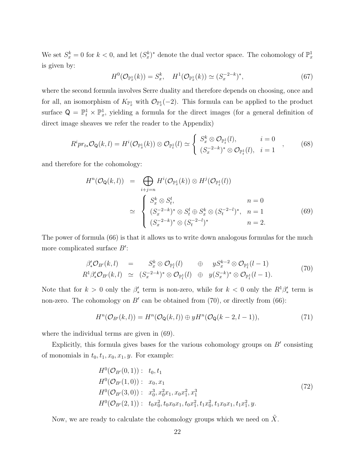We set  $S_x^k = 0$  for  $k < 0$ , and let  $(S_x^k)^*$  denote the dual vector space. The cohomology of  $\mathbb{P}_x^1$ is given by:

$$
H^{0}(\mathcal{O}_{\mathbb{P}_{x}^{1}}(k)) = S_{x}^{k}, \quad H^{1}(\mathcal{O}_{\mathbb{P}_{x}^{1}}(k)) \simeq (S_{x}^{-2-k})^{*}, \tag{67}
$$

where the second formula involves Serre duality and therefore depends on choosing, once and for all, an isomorphism of  $K_{\mathbb{P}^1_x}$  with  $\mathcal{O}_{\mathbb{P}^1_x}(-2)$ . This formula can be applied to the product surface  $Q = \mathbb{P}_t^1 \times \mathbb{P}_x^1$ , yielding a formula for the direct images (for a general definition of direct image sheaves we refer the reader to the Appendix)

$$
R^i pr_{t*} \mathcal{O}_\mathbf{Q}(k,l) = H^i(\mathcal{O}_{\mathbb{P}_x^1}(k)) \otimes \mathcal{O}_{\mathbb{P}_t^1}(l) \simeq \begin{cases} S_x^k \otimes \mathcal{O}_{\mathbb{P}_t^1}(l), & i = 0 \\ (S_x^{-2-k})^* \otimes \mathcal{O}_{\mathbb{P}_t^1}(l), & i = 1 \end{cases} (68)
$$

and therefore for the cohomology:

$$
H^{n}(\mathcal{O}_{\mathbf{Q}}(k,l)) = \bigoplus_{i+j=n} H^{i}(\mathcal{O}_{\mathbb{P}_{x}^{1}}(k)) \otimes H^{j}(\mathcal{O}_{\mathbb{P}_{t}^{1}}(l))
$$
  

$$
\simeq \begin{cases} S_{x}^{k} \otimes S_{t}^{l}, & n=0\\ (S_{x}^{-2-k})^{*} \otimes S_{t}^{l} \oplus S_{x}^{k} \otimes (S_{t}^{-2-l})^{*}, & n=1\\ (S_{x}^{-2-k})^{*} \otimes (S_{t}^{-2-l})^{*} & n=2. \end{cases}
$$
(69)

The power of formula (66) is that it allows us to write down analogous formulas for the much more complicated surface  $B'$ :

$$
\beta'_{*}\mathcal{O}_{B'}(k,l) = S_{x}^{k} \otimes \mathcal{O}_{\mathbb{P}_{t}^{1}}(l) \oplus yS_{x}^{k-2} \otimes \mathcal{O}_{\mathbb{P}_{t}^{1}}(l-1)
$$
\n
$$
R^{1}\beta'_{*}\mathcal{O}_{B'}(k,l) \simeq (S_{x}^{-2-k})^{*} \otimes \mathcal{O}_{\mathbb{P}_{t}^{1}}(l) \oplus y(S_{x}^{-k})^{*} \otimes \mathcal{O}_{\mathbb{P}_{t}^{1}}(l-1).
$$
\n(70)

Note that for  $k > 0$  only the  $\beta'_*$  term is non-zero, while for  $k < 0$  only the  $R^1 \beta'_*$  term is non-zero. The cohomology on  $B'$  can be obtained from  $(70)$ , or directly from  $(66)$ :

$$
H^n(\mathcal{O}_{B'}(k,l)) = H^n(\mathcal{O}_Q(k,l)) \oplus yH^n(\mathcal{O}_Q(k-2,l-1)),
$$
\n(71)

where the individual terms are given in (69).

Explicitly, this formula gives bases for the various cohomology groups on  $B'$  consisting of monomials in  $t_0, t_1, x_0, x_1, y$ . For example:

$$
H^{0}(\mathcal{O}_{B'}(0,1)) : t_{0}, t_{1}
$$
  
\n
$$
H^{0}(\mathcal{O}_{B'}(1,0)) : x_{0}, x_{1}
$$
  
\n
$$
H^{0}(\mathcal{O}_{B'}(3,0)) : x_{0}^{3}, x_{0}^{2}x_{1}, x_{0}x_{1}^{2}, x_{1}^{3}
$$
  
\n
$$
H^{0}(\mathcal{O}_{B'}(2,1)) : t_{0}x_{0}^{2}, t_{0}x_{0}x_{1}, t_{0}x_{1}^{2}, t_{1}x_{0}x_{1}, t_{1}x_{1}^{2}, y.
$$
\n
$$
(72)
$$

Now, we are ready to calculate the cohomology groups which we need on  $\tilde{X}$ .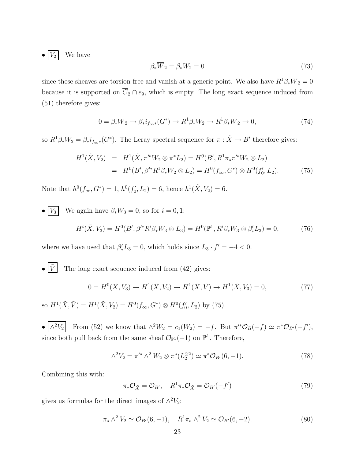$\bullet$   $V_2$  We have

$$
\beta_* \overline{W}_2 = \beta_* W_2 = 0 \tag{73}
$$

since these sheaves are torsion-free and vanish at a generic point. We also have  $R^1\beta_*\overline{W}_2=0$ because it is supported on  $\overline{C}_2 \cap e_9$ , which is empty. The long exact sequence induced from (51) therefore gives:

$$
0 = \beta_* \overline{W}_2 \to \beta_* i_{f_{\infty}}(G^*) \to R^1 \beta_* W_2 \to R^1 \beta_* \overline{W}_2 \to 0, \tag{74}
$$

so  $R^1 \beta_* W_2 = \beta_* i_{f_{\infty}*}(G^*)$ . The Leray spectral sequence for  $\pi : \tilde{X} \to B'$  therefore gives:

$$
H^{1}(\tilde{X}, V_{2}) = H^{1}(\tilde{X}, \pi'^{*}W_{2} \otimes \pi^{*}L_{2}) = H^{0}(B', R^{1}\pi_{*}\pi'^{*}W_{2} \otimes L_{2})
$$
  
=  $H^{0}(B', \beta'^{*}R^{1}\beta_{*}W_{2} \otimes L_{2}) = H^{0}(f_{\infty}, G^{*}) \otimes H^{0}(f'_{0}, L_{2}).$  (75)

Note that  $h^0(f_{\infty}, G^*) = 1, h^0(f_0')$  $b'_0, L_2$  = 6, hence  $h^1(\tilde{X}, V_2) = 6$ .

• 
$$
\boxed{V_3}
$$
 We again have  $\beta_* W_3 = 0$ , so for  $i = 0, 1$ :  
\n
$$
H^i(\tilde{X}, V_3) = H^0(B', \beta'^* R^i \beta_* W_3 \otimes L_3) = H^0(\mathbb{P}^1, R^i \beta_* W_3 \otimes \beta'_* L_3) = 0,
$$
\n(76)

where we have used that  $\beta'_* L_3 = 0$ , which holds since  $L_3 \cdot f' = -4 < 0$ .

•  $\boxed{\tilde{V}}$  The long exact sequence induced from (42) gives:

$$
0 = H^{0}(\tilde{X}, V_{3}) \to H^{1}(\tilde{X}, V_{2}) \to H^{1}(\tilde{X}, \tilde{V}) \to H^{1}(\tilde{X}, V_{3}) = 0,
$$
\n(77)

so  $H^1(\tilde{X}, \tilde{V}) = H^1(\tilde{X}, V_2) = H^0(f_{\infty}, G^*) \otimes H^0(f_0'$  $'_{0}, L_{2}$ ) by (75).

 $\bullet \mid \wedge^2 V_2$ <sup>2</sup>V<sub>2</sub> From (52) we know that  $\wedge^2 W_2 = c_1(W_2) = -f$ . But  $\pi'^* \mathcal{O}_B(-f) \simeq \pi^* \mathcal{O}_{B'}(-f')$ , since both pull back from the same sheaf  $\mathcal{O}_{\mathbb{P}^1}(-1)$  on  $\mathbb{P}^1$ . Therefore,

$$
\wedge^2 V_2 = \pi^{\prime *} \wedge^2 W_2 \otimes \pi^*(L_2^{\otimes 2}) \simeq \pi^* \mathcal{O}_{B'}(6, -1). \tag{78}
$$

Combining this with:

$$
\pi_* \mathcal{O}_{\tilde{X}} = \mathcal{O}_{B'}, \quad R^1 \pi_* \mathcal{O}_{\tilde{X}} = \mathcal{O}_{B'}(-f')
$$
\n(79)

gives us formulas for the direct images of  $\wedge^2 V_2$ :

$$
\pi_* \wedge^2 V_2 \simeq \mathcal{O}_{B'}(6, -1), \quad R^1 \pi_* \wedge^2 V_2 \simeq \mathcal{O}_{B'}(6, -2). \tag{80}
$$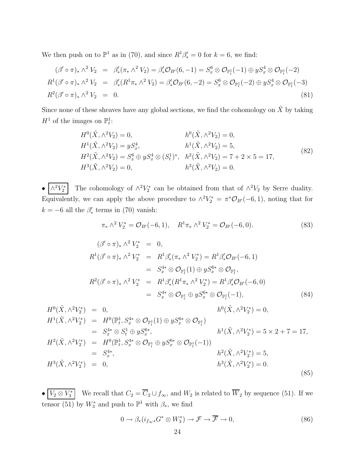We then push on to  $\mathbb{P}^1$  as in (70), and since  $R^1\beta'_* = 0$  for  $k = 6$ , we find:

$$
(\beta' \circ \pi)_* \wedge^2 V_2 = \beta'_* (\pi_* \wedge^2 V_2) = \beta'_* \mathcal{O}_{B'}(6, -1) = S_x^6 \otimes \mathcal{O}_{\mathbb{P}_t^1}(-1) \oplus y S_x^4 \otimes \mathcal{O}_{\mathbb{P}_t^1}(-2)
$$
  
\n
$$
R^1 (\beta' \circ \pi)_* \wedge^2 V_2 = \beta'_* (R^1 \pi_* \wedge^2 V_2) = \beta'_* \mathcal{O}_{B'}(6, -2) = S_x^6 \otimes \mathcal{O}_{\mathbb{P}_t^1}(-2) \oplus y S_x^4 \otimes \mathcal{O}_{\mathbb{P}_t^1}(-3)
$$
  
\n
$$
R^2 (\beta' \circ \pi)_* \wedge^2 V_2 = 0.
$$
\n(81)

Since none of these sheaves have any global sections, we find the cohomology on  $\tilde{X}$  by taking  $H^1$  of the images on  $\mathbb{P}_t^1$ :

$$
H^{0}(\tilde{X}, \wedge^{2}V_{2}) = 0, \qquad h^{0}(\tilde{X}, \wedge^{2}V_{2}) = 0, H^{1}(\tilde{X}, \wedge^{2}V_{2}) = yS_{x}^{4}, \qquad h^{1}(\tilde{X}, \wedge^{2}V_{2}) = 5, H^{2}(\tilde{X}, \wedge^{2}V_{2}) = S_{x}^{6} \oplus yS_{x}^{4} \otimes (S_{t}^{1})^{*}, \quad h^{2}(\tilde{X}, \wedge^{2}V_{2}) = 7 + 2 \times 5 = 17, H^{3}(\tilde{X}, \wedge^{2}V_{2}) = 0, \qquad h^{3}(\tilde{X}, \wedge^{2}V_{2}) = 0.
$$
\n
$$
(82)
$$

 $\bullet\;|\wedge^2V_2^*$ <sup> $\mathcal{V}_2^*$ </sup> The cohomology of  $\wedge^2 V_2^*$  $\chi^*$  can be obtained from that of  $\wedge^2 V_2$  by Serre duality. Equivalently, we can apply the above procedure to  $\wedge^2 V_2^* = \pi^* \mathcal{O}_{B'}(-6,1)$ , noting that for  $k = -6$  all the  $\beta'_{*}$  terms in (70) vanish:

$$
\pi_* \wedge^2 V_2^* = \mathcal{O}_{B'}(-6, 1), \quad R^1 \pi_* \wedge^2 V_2^* = \mathcal{O}_{B'}(-6, 0). \tag{83}
$$

$$
(\beta' \circ \pi)_* \wedge^2 V_2^* = 0,
$$
  
\n
$$
R^1(\beta' \circ \pi)_* \wedge^2 V_2^* = R^1 \beta'_* (\pi_* \wedge^2 V_2^*) = R^1 \beta'_* \mathcal{O}_{B'}(-6, 1)
$$
  
\n
$$
= S_x^{4*} \otimes \mathcal{O}_{\mathbb{P}_t^1}(1) \oplus y S_x^{6*} \otimes \mathcal{O}_{\mathbb{P}_t^1},
$$
  
\n
$$
R^2(\beta' \circ \pi)_* \wedge^2 V_2^* = R^1 \beta'_* (R^1 \pi_* \wedge^2 V_2^*) = R^1 \beta'_* \mathcal{O}_{B'}(-6, 0)
$$
  
\n
$$
= S_x^{4*} \otimes \mathcal{O}_{\mathbb{P}_t^1} \oplus y S_x^{6*} \otimes \mathcal{O}_{\mathbb{P}_t^1}(-1),
$$
\n(84)

$$
H^{0}(\tilde{X}, \wedge^{2}V_{2}^{*}) = 0, \qquad h^{0}(\tilde{X}, \wedge^{2}V_{2}^{*}) = 0, H^{1}(\tilde{X}, \wedge^{2}V_{2}^{*}) = H^{0}(\mathbb{P}_{t}^{1}, S_{x}^{4*} \otimes \mathcal{O}_{\mathbb{P}_{t}^{1}}(1) \oplus yS_{x}^{6*} \otimes \mathcal{O}_{\mathbb{P}_{t}^{1}}) = S_{x}^{4*} \otimes S_{t}^{1} \oplus yS_{x}^{6*}, \qquad h^{1}(\tilde{X}, \wedge^{2}V_{2}^{*}) = 5 \times 2 + 7 = 17, H^{2}(\tilde{X}, \wedge^{2}V_{2}^{*}) = H^{0}(\mathbb{P}_{t}^{1}, S_{x}^{4*} \otimes \mathcal{O}_{\mathbb{P}_{t}^{1}} \oplus yS_{x}^{6*} \otimes \mathcal{O}_{\mathbb{P}_{t}^{1}}(-1)) = S_{x}^{4*}, \qquad h^{2}(\tilde{X}, \wedge^{2}V_{2}^{*}) = 5, h^{3}(\tilde{X}, \wedge^{2}V_{2}^{*}) = 0.
$$
 (85)

 $\bullet$   $\boxed{V_2 \otimes V_3^*}$ We recall that  $C_2 = \overline{C}_2 \cup f_\infty$ , and  $W_2$  is related to  $\overline{W}_2$  by sequence (51). If we tensor (51) by  $W_3^*$  and push to  $\mathbb{P}^1$  with  $\beta_*$ , we find

$$
0 \to \beta_*(i_{f_\infty *} G^* \otimes W_3^*) \to \mathcal{F} \to \overline{\mathcal{F}} \to 0,
$$
\n(86)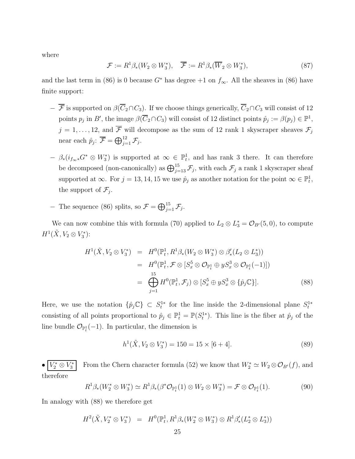where

$$
\mathcal{F} := R^1 \beta_*(W_2 \otimes W_3^*), \quad \overline{\mathcal{F}} := R^1 \beta_*(\overline{W}_2 \otimes W_3^*), \tag{87}
$$

and the last term in (86) is 0 because  $G^*$  has degree +1 on  $f_{\infty}$ . All the sheaves in (86) have finite support:

- $-\overline{\mathcal{F}}$  is supported on  $\beta(\overline{C}_2 \cap C_3)$ . If we choose things generically,  $\overline{C}_2 \cap C_3$  will consist of 12 points  $p_j$  in B', the image  $\beta(\overline{C}_2 \cap C_3)$  will consist of 12 distinct points  $\hat{p}_j := \beta(p_j) \in \mathbb{P}^1$ ,  $j = 1, \ldots, 12$ , and  $\overline{\mathcal{F}}$  will decompose as the sum of 12 rank 1 skyscraper sheaves  $\mathcal{F}_j$ near each  $\hat{p}_j$ :  $\overline{\mathcal{F}} = \bigoplus_{j=1}^{12} \mathcal{F}_j$ .
- $\beta_*(i_{f_{\infty}*}G^* \otimes W_3^*)$  is supported at  $\infty \in \mathbb{P}^1_t$ , and has rank 3 there. It can therefore be decomposed (non-canonically) as  $\bigoplus_{j=13}^{15} \mathcal{F}_j$ , with each  $\mathcal{F}_j$  a rank 1 skyscraper sheaf supported at  $\infty$ . For  $j = 13, 14, 15$  we use  $\hat{p}_j$  as another notation for the point  $\infty \in \mathbb{P}^1_t$ , the support of  $\mathcal{F}_j$ .
- − The sequence (86) splits, so  $\mathcal{F} = \bigoplus_{j=1}^{15} \mathcal{F}_j$ .

We can now combine this with formula (70) applied to  $L_2 \otimes L_3^* = \mathcal{O}_{B'}(5,0)$ , to compute  $H^1(\tilde{X}, V_2 \otimes V_3^*)$  $\binom{7*}{3}$ :

$$
H^1(\tilde{X}, V_2 \otimes V_3^*) = H^0(\mathbb{P}_t^1, R^1 \beta_*(W_2 \otimes W_3^*) \otimes \beta'_*(L_2 \otimes L_3^*))
$$
  
\n
$$
= H^0(\mathbb{P}_t^1, \mathcal{F} \otimes [S_x^5 \otimes \mathcal{O}_{\mathbb{P}_t^1} \oplus yS_x^3 \otimes \mathcal{O}_{\mathbb{P}_t^1}(-1)])
$$
  
\n
$$
= \bigoplus_{j=1}^{15} H^0(\mathbb{P}_t^1, \mathcal{F}_j) \otimes [S_x^5 \oplus yS_x^3 \otimes {\hat{p}_j \mathbb{C}}]. \tag{88}
$$

Here, we use the notation  $\{\hat{p}_j \mathbb{C}\}\subset S_t^{1*}$  for the line inside the 2-dimensional plane  $S_t^{1*}$ consisting of all points proportional to  $\hat{p}_j \in \mathbb{P}_t^1 = \mathbb{P}(S_t^{1*})$ . This line is the fiber at  $\hat{p}_j$  of the line bundle  $\mathcal{O}_{\mathbb{P}^1_t}(-1)$ . In particular, the dimension is

> $h^1({\tilde X}, V_2\otimes V_3^*$  $\binom{3}{3} = 150 = 15 \times [6+4].$  (89)

 $\bullet$   $\boxed{V_2^*\otimes V_3^*}$ From the Chern character formula (52) we know that  $W_2^* \simeq W_2 \otimes \mathcal{O}_{B'}(f)$ , and therefore

$$
R^1 \beta_*(W_2^* \otimes W_3^*) \simeq R^1 \beta_*(\beta^* \mathcal{O}_{\mathbb{P}_t^1}(1) \otimes W_2 \otimes W_3^*) = \mathcal{F} \otimes \mathcal{O}_{\mathbb{P}_t^1}(1). \tag{90}
$$

In analogy with (88) we therefore get

$$
H^{2}(\tilde{X}, V_{2}^{*} \otimes V_{3}^{*}) = H^{0}(\mathbb{P}_{t}^{1}, R^{1}\beta_{*}(W_{2}^{*} \otimes W_{3}^{*}) \otimes R^{1}\beta'_{*}(L_{2}^{*} \otimes L_{3}^{*}))
$$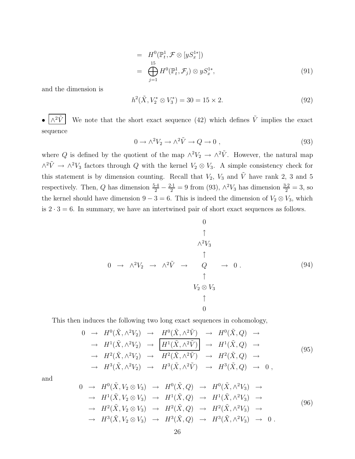$$
= H^0(\mathbb{P}_t^1, \mathcal{F} \otimes [yS_x^{1*}])
$$
  

$$
= \bigoplus_{j=1}^{15} H^0(\mathbb{P}_t^1, \mathcal{F}_j) \otimes yS_x^{1*},
$$
 (91)

and the dimension is

$$
h^2(\tilde{X}, V_2^* \otimes V_3^*) = 30 = 15 \times 2. \tag{92}
$$

 $\wedge^2 \tilde{V}$ We note that the short exact sequence (42) which defines  $\tilde{V}$  implies the exact sequence

$$
0 \to \wedge^2 V_2 \to \wedge^2 \tilde{V} \to Q \to 0 , \qquad (93)
$$

where Q is defined by the quotient of the map  $\wedge^2 V_2 \to \wedge^2 \tilde{V}$ . However, the natural map  $\wedge^2 \tilde{V}$  →  $\wedge^2 V_3$  factors through Q with the kernel  $V_2 \otimes V_3$ . A simple consistency check for this statement is by dimension counting. Recall that  $V_2$ ,  $V_3$  and  $\tilde{V}$  have rank 2, 3 and 5 respectively. Then, Q has dimension  $\frac{5\cdot 4}{2} - \frac{2\cdot 1}{2} = 9$  from (93),  $\wedge^2 V_3$  has dimension  $\frac{3\cdot 2}{2} = 3$ , so the kernel should have dimension  $9 - 3 = 6$ . This is indeed the dimension of  $V_2 \otimes V_3$ , which is  $2 \cdot 3 = 6$ . In summary, we have an intertwined pair of short exact sequences as follows.

$$
0
$$
\n
$$
\uparrow
$$
\n
$$
\uparrow
$$
\n
$$
\uparrow
$$
\n
$$
\uparrow
$$
\n
$$
\uparrow
$$
\n
$$
\uparrow
$$
\n
$$
\uparrow
$$
\n
$$
\uparrow
$$
\n
$$
\downarrow
$$
\n
$$
\uparrow
$$
\n
$$
\downarrow
$$
\n
$$
\downarrow
$$
\n
$$
\downarrow
$$
\n
$$
\downarrow
$$
\n
$$
\downarrow
$$
\n
$$
\downarrow
$$
\n
$$
\downarrow
$$
\n
$$
\downarrow
$$
\n
$$
\downarrow
$$
\n
$$
\downarrow
$$
\n
$$
\downarrow
$$
\n
$$
\downarrow
$$
\n
$$
\downarrow
$$
\n
$$
\downarrow
$$
\n
$$
\downarrow
$$
\n
$$
\downarrow
$$
\n
$$
\downarrow
$$
\n
$$
\downarrow
$$
\n
$$
\downarrow
$$
\n
$$
\downarrow
$$
\n
$$
\downarrow
$$
\n
$$
\downarrow
$$
\n
$$
\downarrow
$$
\n
$$
\downarrow
$$
\n
$$
\downarrow
$$
\n
$$
\downarrow
$$
\n
$$
\downarrow
$$
\n
$$
\downarrow
$$
\n
$$
\downarrow
$$
\n
$$
\downarrow
$$
\n
$$
\downarrow
$$
\n
$$
\downarrow
$$
\n
$$
\downarrow
$$
\n
$$
\downarrow
$$
\n
$$
\downarrow
$$
\n
$$
\downarrow
$$
\n
$$
\downarrow
$$
\n
$$
\downarrow
$$
\n
$$
\downarrow
$$
\n
$$
\downarrow
$$
\n
$$
\downarrow
$$
\n
$$
\downarrow
$$
\n
$$
\downarrow
$$
\n
$$
\downarrow
$$
\n
$$
\downarrow
$$
\n
$$
\downarrow
$$
\n
$$
\downarrow
$$
\n
$$
\downarrow
$$
\n
$$
\downarrow
$$
\n
$$
\downarrow
$$
\n
$$
\downarrow
$$
\n
$$
\downarrow
$$
\n
$$
\downarrow
$$

This then induces the following two long exact sequences in cohomology,

$$
0 \rightarrow H^{0}(\tilde{X}, \wedge^{2}V_{2}) \rightarrow H^{0}(\tilde{X}, \wedge^{2}\tilde{V}) \rightarrow H^{0}(\tilde{X}, Q) \rightarrow
$$
  
\n
$$
\rightarrow H^{1}(\tilde{X}, \wedge^{2}V_{2}) \rightarrow H^{1}(\tilde{X}, \wedge^{2}\tilde{V}) \rightarrow H^{1}(\tilde{X}, Q) \rightarrow
$$
  
\n
$$
\rightarrow H^{2}(\tilde{X}, \wedge^{2}V_{2}) \rightarrow H^{2}(\tilde{X}, \wedge^{2}\tilde{V}) \rightarrow H^{2}(\tilde{X}, Q) \rightarrow
$$
  
\n
$$
\rightarrow H^{3}(\tilde{X}, \wedge^{2}V_{2}) \rightarrow H^{3}(\tilde{X}, \wedge^{2}\tilde{V}) \rightarrow H^{3}(\tilde{X}, Q) \rightarrow 0,
$$
  
\n(95)

and

$$
0 \rightarrow H^{0}(\tilde{X}, V_{2} \otimes V_{3}) \rightarrow H^{0}(\tilde{X}, Q) \rightarrow H^{0}(\tilde{X}, \wedge^{2}V_{3}) \rightarrow
$$
  
\n
$$
\rightarrow H^{1}(\tilde{X}, V_{2} \otimes V_{3}) \rightarrow H^{1}(\tilde{X}, Q) \rightarrow H^{1}(\tilde{X}, \wedge^{2}V_{3}) \rightarrow
$$
  
\n
$$
\rightarrow H^{2}(\tilde{X}, V_{2} \otimes V_{3}) \rightarrow H^{2}(\tilde{X}, Q) \rightarrow H^{2}(\tilde{X}, \wedge^{2}V_{3}) \rightarrow
$$
  
\n
$$
\rightarrow H^{3}(\tilde{X}, V_{2} \otimes V_{3}) \rightarrow H^{3}(\tilde{X}, Q) \rightarrow H^{3}(\tilde{X}, \wedge^{2}V_{3}) \rightarrow 0.
$$
  
\n(96)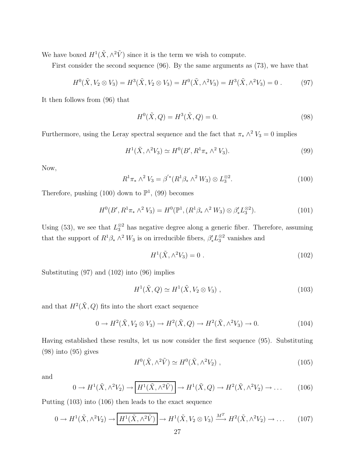We have boxed  $H^1(\tilde{X}, \wedge^2 \tilde{V})$  since it is the term we wish to compute.

First consider the second sequence (96). By the same arguments as (73), we have that

$$
H^{0}(\tilde{X}, V_{2} \otimes V_{3}) = H^{3}(\tilde{X}, V_{2} \otimes V_{3}) = H^{0}(\tilde{X}, \wedge^{2} V_{3}) = H^{3}(\tilde{X}, \wedge^{2} V_{3}) = 0.
$$
 (97)

It then follows from (96) that

$$
H^{0}(\tilde{X}, Q) = H^{3}(\tilde{X}, Q) = 0.
$$
\n(98)

Furthermore, using the Leray spectral sequence and the fact that  $\pi_* \wedge^2 V_3 = 0$  implies

$$
H^{1}(\tilde{X}, \wedge^{2}V_{3}) \simeq H^{0}(B', R^{1}\pi_{*} \wedge^{2}V_{3}). \tag{99}
$$

Now,

$$
R^{1}\pi_{*} \wedge^{2} V_{3} = \beta^{'*}(R^{1}\beta_{*} \wedge^{2} W_{3}) \otimes L_{3}^{\otimes 2}.
$$
 (100)

Therefore, pushing  $(100)$  down to  $\mathbb{P}^1$ ,  $(99)$  becomes

$$
H^{0}(B', R^{1}\pi_{*} \wedge^{2} V_{3}) = H^{0}(\mathbb{P}^{1}, (R^{1}\beta_{*} \wedge^{2} W_{3}) \otimes \beta'_{*}L_{3}^{\otimes 2}). \tag{101}
$$

Using (53), we see that  $L_3^{\otimes 2}$  has negative degree along a generic fiber. Therefore, assuming that the support of  $R^1\beta_* \wedge^2 W_3$  is on irreducible fibers,  $\beta'_* L_3^{\otimes 2}$  vanishes and

$$
H^{1}(\tilde{X}, \wedge^{2}V_{3}) = 0.
$$
 (102)

Substituting (97) and (102) into (96) implies

$$
H^1(\tilde{X}, Q) \simeq H^1(\tilde{X}, V_2 \otimes V_3) , \qquad (103)
$$

and that  $H^2(\tilde{X}, Q)$  fits into the short exact sequence

$$
0 \to H^2(\tilde{X}, V_2 \otimes V_3) \to H^2(\tilde{X}, Q) \to H^2(\tilde{X}, \wedge^2 V_3) \to 0. \tag{104}
$$

Having established these results, let us now consider the first sequence (95). Substituting (98) into (95) gives

$$
H^{0}(\tilde{X}, \wedge^{2} \tilde{V}) \simeq H^{0}(\tilde{X}, \wedge^{2} V_{2}), \qquad (105)
$$

and

$$
0 \to H^1(\tilde{X}, \wedge^2 V_2) \to \boxed{H^1(\tilde{X}, \wedge^2 \tilde{V})} \to H^1(\tilde{X}, Q) \to H^2(\tilde{X}, \wedge^2 V_2) \to \dots \tag{106}
$$

Putting (103) into (106) then leads to the exact sequence

$$
0 \to H^1(\tilde{X}, \wedge^2 V_2) \to \boxed{H^1(\tilde{X}, \wedge^2 \tilde{V})} \to H^1(\tilde{X}, V_2 \otimes V_3) \xrightarrow{M^T} H^2(\tilde{X}, \wedge^2 V_2) \to \dots \tag{107}
$$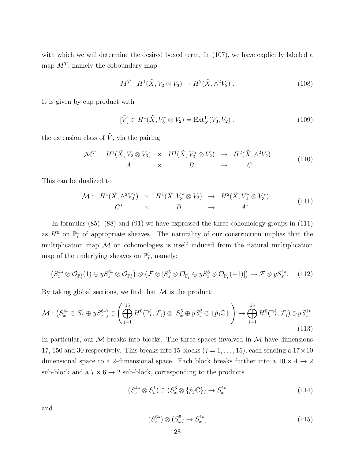with which we will determine the desired boxed term. In (107), we have explicitly labeled a map  $M^T$ , namely the coboundary map

$$
M^T: H^1(\tilde{X}, V_2 \otimes V_3) \to H^2(\tilde{X}, \wedge^2 V_2) . \tag{108}
$$

It is given by cup product with

$$
[\tilde{V}] \in H^1(\tilde{X}, V_3^* \otimes V_2) = \text{Ext}^1_{\tilde{X}}(V_3, V_2) , \qquad (109)
$$

the extension class of  $\tilde{V}$ , via the pairing

$$
\mathcal{M}^T: H^1(\tilde{X}, V_2 \otimes V_3) \times H^1(\tilde{X}, V_3^* \otimes V_2) \to H^2(\tilde{X}, \wedge^2 V_2) \nA \times B \to C.
$$
\n(110)

This can be dualized to

$$
\mathcal{M}: H^1(\tilde{X}, \wedge^2 V_2^*) \times H^1(\tilde{X}, V_3^* \otimes V_2) \to H^2(\tilde{X}, V_2^* \otimes V_3^*)
$$
  
\n
$$
C^* \times B \to A^*
$$
\n(111)

In formulas (85), (88) and (91) we have expressed the three cohomology groups in (111) as  $H^0$  on  $\mathbb{P}^1_t$  of appropriate sheaves. The naturality of our construction implies that the multiplication map  $M$  on cohomologies is itself induced from the natural multiplication map of the underlying sheaves on  $\mathbb{P}^1_t$ , namely:

$$
(S_x^{4*} \otimes \mathcal{O}_{\mathbb{P}_t^1}(1) \oplus yS_x^{6*} \otimes \mathcal{O}_{\mathbb{P}_t^1}) \otimes (\mathcal{F} \otimes [S_x^5 \otimes \mathcal{O}_{\mathbb{P}_t^1} \oplus yS_x^3 \otimes \mathcal{O}_{\mathbb{P}_t^1}(-1)]) \to \mathcal{F} \otimes yS_x^{1*}.
$$
 (112)

By taking global sections, we find that  $M$  is the product:

$$
\mathcal{M}: \left(S_x^{4*} \otimes S_t^1 \oplus yS_x^{6*}\right) \otimes \left(\bigoplus_{j=1}^{15} H^0(\mathbb{P}_t^1, \mathcal{F}_j) \otimes \left[S_x^5 \oplus yS_x^3 \otimes \{\hat{p}_j \mathbb{C}\}\right]\right) \to \bigoplus_{j=1}^{15} H^0(\mathbb{P}_t^1, \mathcal{F}_j) \otimes yS_x^{1*}.\tag{113}
$$

In particular, our M breaks into blocks. The three spaces involved in  $\mathcal M$  have dimensions 17, 150 and 30 respectively. This breaks into 15 blocks  $(j = 1, \ldots, 15)$ , each sending a  $17 \times 10$ dimensional space to a 2-dimensional space. Each block breaks further into a  $10 \times 4 \rightarrow 2$ sub-block and a  $7 \times 6 \rightarrow 2$  sub-block, corresponding to the products

$$
(S_x^{4*} \otimes S_t^1) \otimes (S_x^3 \otimes {\hat{p}_j \mathbb{C}}) \to S_x^{1*} \tag{114}
$$

and

$$
(S_x^{6*}) \otimes (S_x^5) \to S_x^{1*}, \tag{115}
$$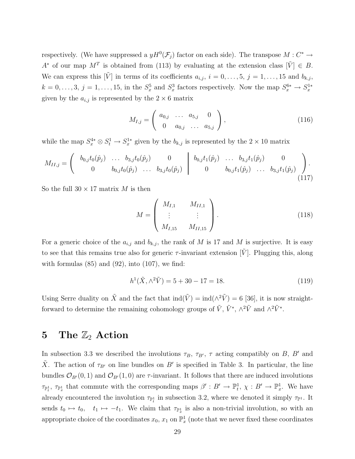respectively. (We have suppressed a  $yH^0(\mathcal{F}_j)$  factor on each side). The transpose  $M: C^* \to$ A<sup>\*</sup> of our map  $M^T$  is obtained from (113) by evaluating at the extension class  $[\tilde{V}] \in B$ . We can express this  $[\tilde{V}]$  in terms of its coefficients  $a_{i,j}$ ,  $i = 0, \ldots, 5, j = 1, \ldots, 15$  and  $b_{k,j}$ ,  $k = 0, \ldots, 3, j = 1, \ldots, 15$ , in the  $S_x^5$  and  $S_x^3$  factors respectively. Now the map  $S_x^{6*} \to S_x^{1*}$ given by the  $a_{i,j}$  is represented by the  $2 \times 6$  matrix

$$
M_{I,j} = \begin{pmatrix} a_{0,j} & \dots & a_{5,j} & 0 \\ 0 & a_{0,j} & \dots & a_{5,j} \end{pmatrix},
$$
 (116)

while the map  $S_x^{4*} \otimes S_t^1 \to S_x^{1*}$  given by the  $b_{k,j}$  is represented by the  $2 \times 10$  matrix

$$
M_{II,j} = \begin{pmatrix} b_{0,j}t_0(\hat{p}_j) & \dots & b_{3,j}t_0(\hat{p}_j) & 0 \\ 0 & b_{0,j}t_0(\hat{p}_j) & \dots & b_{3,j}t_0(\hat{p}_j) \end{pmatrix} \begin{pmatrix} b_{0,j}t_1(\hat{p}_j) & \dots & b_{3,j}t_1(\hat{p}_j) & 0 \\ 0 & b_{0,j}t_1(\hat{p}_j) & \dots & b_{3,j}t_1(\hat{p}_j) \end{pmatrix} .
$$
 (117)

So the full  $30 \times 17$  matrix M is then

$$
M = \begin{pmatrix} M_{I,1} & M_{II,1} \\ \vdots & \vdots \\ M_{I,15} & M_{II,15} \end{pmatrix} .
$$
 (118)

For a generic choice of the  $a_{i,j}$  and  $b_{k,j}$ , the rank of M is 17 and M is surjective. It is easy to see that this remains true also for generic  $\tau$ -invariant extension [V]. Plugging this, along with formulas  $(85)$  and  $(92)$ , into  $(107)$ , we find:

$$
h^1(\tilde{X}, \wedge^2 \tilde{V}) = 5 + 30 - 17 = 18.
$$
 (119)

Using Serre duality on  $\tilde{X}$  and the fact that  $\text{ind}(\tilde{V}) = \text{ind}(\wedge^2 \tilde{V}) = 6$  [36], it is now straightforward to determine the remaining cohomology groups of  $\tilde{V}$ ,  $\tilde{V}^*$ ,  $\wedge^2 \tilde{V}$  and  $\wedge^2 \tilde{V}^*$ .

## 5 The  $\mathbb{Z}_2$  Action

In subsection 3.3 we described the involutions  $\tau_B$ ,  $\tau_{B'}$ ,  $\tau$  acting compatibly on B, B' and  $\tilde{X}$ . The action of  $\tau_{B'}$  on line bundles on B' is specified in Table 3. In particular, the line bundles  $\mathcal{O}_{B'}(0, 1)$  and  $\mathcal{O}_{B'}(1, 0)$  are  $\tau$ -invariant. It follows that there are induced involutions  $\tau_{\mathbb{P}_t^1}$ ,  $\tau_{\mathbb{P}_x^1}$  that commute with the corresponding maps  $\beta': B' \to \mathbb{P}_t^1$ ,  $\chi: B' \to \mathbb{P}_x^1$ . We have already encountered the involution  $\tau_{\mathbb{P}^1_t}$  in subsection 3.2, where we denoted it simply  $\tau_{\mathbb{P}^1}$ . It sends  $t_0 \mapsto t_0$ ,  $t_1 \mapsto -t_1$ . We claim that  $\tau_{\mathbb{P}^1_x}$  is also a non-trivial involution, so with an appropriate choice of the coordinates  $x_0, x_1$  on  $\mathbb{P}^1_x$  (note that we never fixed these coordinates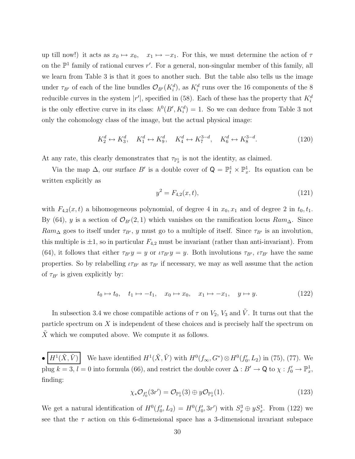up till now!) it acts as  $x_0 \mapsto x_0$ ,  $x_1 \mapsto -x_1$ . For this, we must determine the action of  $\tau$ on the  $\mathbb{P}^1$  family of rational curves r'. For a general, non-singular member of this family, all we learn from Table 3 is that it goes to another such. But the table also tells us the image under  $\tau_{B'}$  of each of the line bundles  $\mathcal{O}_{B'}(K_i^d)$ , as  $K_i^d$  runs over the 16 components of the 8 reducible curves in the system  $|r'|$ , specified in (58). Each of these has the property that  $K_i^d$ is the only effective curve in its class:  $h^0(B', K_i^d) = 1$ . So we can deduce from Table 3 not only the cohomology class of the image, but the actual physical image:

$$
K_2^d \leftrightarrow K_3^d, \quad K_1^d \leftrightarrow K_9^d, \quad K_4^d \leftrightarrow K_7^{3-d}, \quad K_6^d \leftrightarrow K_8^{3-d}.\tag{120}
$$

At any rate, this clearly demonstrates that  $\tau_{\mathbb{P}^1_x}$  is not the identity, as claimed.

Via the map  $\Delta$ , our surface B' is a double cover of  $\mathsf{Q} = \mathbb{P}^1_t \times \mathbb{P}^1_x$ . Its equation can be written explicitly as

$$
y^2 = F_{4,2}(x,t),\tag{121}
$$

with  $F_{4,2}(x, t)$  a bihomogeneous polynomial, of degree 4 in  $x_0, x_1$  and of degree 2 in  $t_0, t_1$ . By (64), y is a section of  $\mathcal{O}_{B'}(2,1)$  which vanishes on the ramification locus  $Ram_{\Delta}$ . Since  $Ram_{\Delta}$  goes to itself under  $\tau_{B'}$ , y must go to a multiple of itself. Since  $\tau_{B'}$  is an involution, this multiple is  $\pm 1$ , so in particular  $F_{4,2}$  must be invariant (rather than anti-invariant). From (64), it follows that either  $\tau_{B'}y = y$  or  $\iota\tau_{B'}y = y$ . Both involutions  $\tau_{B'}$ ,  $\iota\tau_{B'}$  have the same properties. So by relabelling  $\iota\tau_{B'}$  as  $\tau_{B'}$  if necessary, we may as well assume that the action of  $\tau_{B'}$  is given explicitly by:

$$
t_0 \mapsto t_0, \quad t_1 \mapsto -t_1, \quad x_0 \mapsto x_0, \quad x_1 \mapsto -x_1, \quad y \mapsto y. \tag{122}
$$

In subsection 3.4 we chose compatible actions of  $\tau$  on  $V_2$ ,  $V_3$  and  $\tilde{V}$ . It turns out that the particle spectrum on  $X$  is independent of these choices and is precisely half the spectrum on  $\tilde{X}$  which we computed above. We compute it as follows.

 $\bullet$   $H^1(\tilde{X}, \tilde{V})$  $(\tilde{X}, \tilde{V})$  We have identified  $H^1(\tilde{X}, \tilde{V})$  with  $H^0(f_\infty, G^*)\otimes H^0(f'_0)$  $U_0', L_2$ ) in (75), (77). We plug  $k = 3, l = 0$  into formula (66), and restrict the double cover  $\Delta : B' \to \mathbb{Q}$  to  $\chi : f'_0 \to \mathbb{P}^1_x$ , finding:

$$
\chi_* \mathcal{O}_{f'_0}(3r') = \mathcal{O}_{\mathbb{P}^1_x}(3) \oplus y\mathcal{O}_{\mathbb{P}^1_x}(1). \tag{123}
$$

We get a natural identification of  $H^0(f_0)$  $U'_0, L_2$ ) =  $H^0(f'_0)$  $(122)$  with  $S_x^3 \oplus yS_x^1$ . From (122) we see that the  $\tau$  action on this 6-dimensional space has a 3-dimensional invariant subspace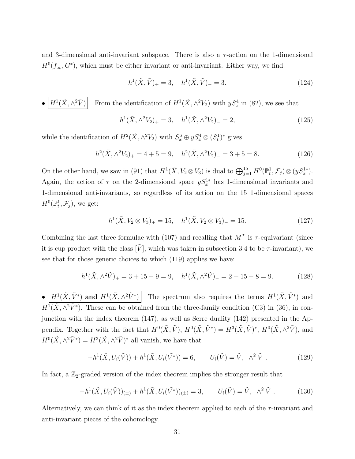and 3-dimensional anti-invariant subspace. There is also a  $\tau$ -action on the 1-dimensional  $H^0(f_\infty, G^*)$ , which must be either invariant or anti-invariant. Either way, we find:

$$
h^{1}(\tilde{X}, \tilde{V})_{+} = 3, \quad h^{1}(\tilde{X}, \tilde{V})_{-} = 3.
$$
 (124)

•  $\left| H^1(\tilde{X}, \wedge^2 \tilde{V}) \right|$  From the identification of  $H^1(\tilde{X}, \wedge^2 V_2)$  with  $yS_x^4$  in (82), we see that

$$
h^{1}(\tilde{X}, \wedge^{2} V_{2})_{+} = 3, \quad h^{1}(\tilde{X}, \wedge^{2} V_{2})_{-} = 2,
$$
\n(125)

while the identification of  $H^2(\tilde{X}, \wedge^2 V_2)$  with  $S_x^6 \oplus yS_x^4 \otimes (S_t^1)^*$  gives

$$
h^{2}(\tilde{X}, \wedge^{2}V_{2})_{+} = 4 + 5 = 9, \quad h^{2}(\tilde{X}, \wedge^{2}V_{2})_{-} = 3 + 5 = 8.
$$
 (126)

On the other hand, we saw in (91) that  $H^1(\tilde{X}, V_2 \otimes V_3)$  is dual to  $\bigoplus_{j=1}^{15} H^0(\mathbb{P}^1_t, \mathcal{F}_j) \otimes (yS_x^{1*})$ . Again, the action of  $\tau$  on the 2-dimensional space  $yS_x^{1*}$  has 1-dimensional invariants and 1-dimensional anti-invariants, so regardless of its action on the 15 1-dimensional spaces  $H^0(\mathbb{P}^1_t, \mathcal{F}_j)$ , we get:

$$
h^{1}(\tilde{X}, V_{2} \otimes V_{3})_{+} = 15, \quad h^{1}(\tilde{X}, V_{2} \otimes V_{3})_{-} = 15.
$$
 (127)

Combining the last three formulae with (107) and recalling that  $M<sup>T</sup>$  is  $\tau$ -equivariant (since it is cup product with the class  $\tilde{V}$ , which was taken in subsection 3.4 to be  $\tau$ -invariant), we see that for those generic choices to which (119) applies we have:

$$
h^{1}(\tilde{X}, \wedge^{2} \tilde{V})_{+} = 3 + 15 - 9 = 9, \quad h^{1}(\tilde{X}, \wedge^{2} \tilde{V})_{-} = 2 + 15 - 8 = 9.
$$
 (128)

•  $\left| H^1(\tilde{X}, \tilde{V}^*) \right|$  and  $H^1(\tilde{X}, \wedge^2 \tilde{V}^*)$  The spectrum also requires the terms  $H^1(\tilde{X}, \tilde{V}^*)$  and  $H^1(\tilde{X}, \wedge^2 \tilde{V}^*)$ . These can be obtained from the three-family condition (C3) in (36), in conjunction with the index theorem (147), as well as Serre duality (142) presented in the Appendix. Together with the fact that  $H^0(\tilde{X}, \tilde{V}), H^0(\tilde{X}, \tilde{V}^*) = H^3(\tilde{X}, \tilde{V})^*, H^0(\tilde{X}, \wedge^2 \tilde{V}),$  and  $H^0(\tilde{X}, \wedge^2 \tilde{V}^*) = H^3(\tilde{X}, \wedge^2 \tilde{V})^*$  all vanish, we have that

$$
-h^{1}(\tilde{X}, U_{i}(\tilde{V})) + h^{1}(\tilde{X}, U_{i}(\tilde{V}^{*})) = 6, \qquad U_{i}(\tilde{V}) = \tilde{V}, \quad \wedge^{2} \tilde{V} . \tag{129}
$$

In fact, a  $\mathbb{Z}_2$ -graded version of the index theorem implies the stronger result that

$$
-h^{1}(\tilde{X}, U_{i}(\tilde{V}))_{(\pm)} + h^{1}(\tilde{X}, U_{i}(\tilde{V}^{*}))_{(\pm)} = 3, \qquad U_{i}(\tilde{V}) = \tilde{V}, \quad \wedge^{2} \tilde{V} \ . \tag{130}
$$

Alternatively, we can think of it as the index theorem applied to each of the  $\tau$ -invariant and anti-invariant pieces of the cohomology.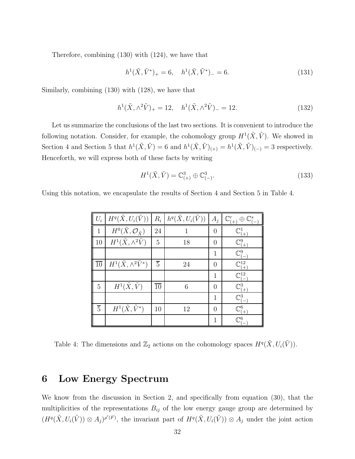Therefore, combining (130) with (124), we have that

$$
h^{1}(\tilde{X}, \tilde{V}^{*})_{+} = 6, \quad h^{1}(\tilde{X}, \tilde{V}^{*})_{-} = 6.
$$
\n(131)

Similarly, combining (130) with (128), we have that

$$
h^{1}(\tilde{X}, \wedge^{2} \tilde{V})_{+} = 12, \quad h^{1}(\tilde{X}, \wedge^{2} \tilde{V})_{-} = 12.
$$
 (132)

Let us summarize the conclusions of the last two sections. It is convenient to introduce the following notation. Consider, for example, the cohomology group  $H^1(\tilde{X}, \tilde{V})$ . We showed in Section 4 and Section 5 that  $h^1(\tilde{X}, \tilde{V}) = 6$  and  $h^1(\tilde{X}, \tilde{V})_{(+)} = h^1(\tilde{X}, \tilde{V})_{(-)} = 3$  respectively. Henceforth, we will express both of these facts by writing

$$
H^{1}(\tilde{X}, \tilde{V}) = \mathbb{C}^{3}_{(+)} \oplus \mathbb{C}^{3}_{(-)}.
$$
\n(133)

Using this notation, we encapsulate the results of Section 4 and Section 5 in Table 4.

| $U_i$           | $H^q(\tilde{X},U_i(\tilde{V}))$                 | $R_i$           | $h^q(\tilde{X},U_i(\tilde{V}))$ | $A_j$          | $\mathbb{C}^r_{(\pm)}$<br>$\mathbb{C}^s$<br>$\oplus$ |
|-----------------|-------------------------------------------------|-----------------|---------------------------------|----------------|------------------------------------------------------|
| 1               | $H^0(\tilde{X}, \mathcal{O}_{\tilde{X}})$       | 24              | 1                               | 0              | $\mathbb{C}^1_{++}$                                  |
| 10              | $\overline{H^1(\tilde{X}, \wedge^2 \tilde{V})}$ | 5               | 18                              | 0              | $\mathbb{C}^9_{(+)}$                                 |
|                 |                                                 |                 |                                 | 1              | $\mathbb{C}^9_{(-)}$                                 |
| $\overline{10}$ | $H^1(\tilde{X}, \wedge^2 \tilde{V}^*)$          | $\overline{5}$  | 24                              | $\Omega$       | $\mathbb{C}_{(+)}^{12}$                              |
|                 |                                                 |                 |                                 | 1              | $\mathbb{C}^{12}_1$                                  |
| 5               | $H^1(\tilde{X}, \tilde{V})$                     | $\overline{10}$ | 6                               | $\Omega$       | $\mathbb{C}^3_{++}$                                  |
|                 |                                                 |                 |                                 | $\mathbf{1}$   | $\mathbb{C}^3_{\mathbb{C}}$                          |
| $\overline{5}$  | $H^1(\tilde{X}, \tilde{V}^*)$                   | 10              | 12                              | $\overline{0}$ | $\mathbb{C}^6_{\underline{(+)}}$                     |
|                 |                                                 |                 |                                 | 1              | $\mathbb{C}^6$                                       |

Table 4: The dimensions and  $\mathbb{Z}_2$  actions on the cohomology spaces  $H^q(\tilde{X}, U_i(\tilde{V}))$ .

## 6 Low Energy Spectrum

We know from the discussion in Section 2, and specifically from equation (30), that the multiplicities of the representations  $B_{ij}$  of the low energy gauge group are determined by  $(H^q(\tilde{X}, U_i(\tilde{V})) \otimes A_j)^{\rho'(F)}$ , the invariant part of  $H^q(\tilde{X}, U_i(\tilde{V})) \otimes A_j$  under the joint action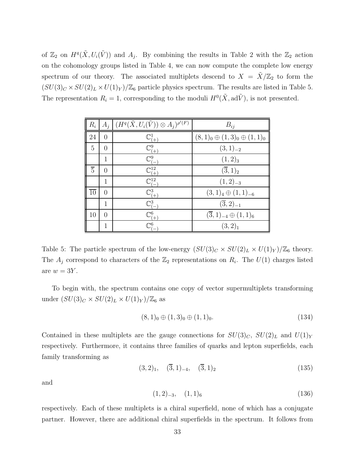of  $\mathbb{Z}_2$  on  $H^q(\tilde{X}, U_i(\tilde{V}))$  and  $A_j$ . By combining the results in Table 2 with the  $\mathbb{Z}_2$  action on the cohomology groups listed in Table 4, we can now compute the complete low energy spectrum of our theory. The associated multiplets descend to  $X = \tilde{X}/\mathbb{Z}_2$  to form the  $(SU(3)_C \times SU(2)_L \times U(1)_Y)/\mathbb{Z}_6$  particle physics spectrum. The results are listed in Table 5. The representation  $R_i = 1$ , corresponding to the moduli  $H^0(\tilde{X}, \text{ad}\tilde{V})$ , is not presented.

| $R_i$           | $A_i$          | $(H^q(\tilde{X},U_i(\tilde{V}))\otimes A_i)^{\rho'(F)}$ | $B_{ij}$                                |
|-----------------|----------------|---------------------------------------------------------|-----------------------------------------|
| 24              | $\overline{0}$ | $\mathbb{C}^1_{(\pm)}$                                  | $(8,1)_0 \oplus (1,3)_0 \oplus (1,1)_0$ |
| $\overline{5}$  | 0              | $\mathbb{C}^9_{\textcolor{black}{(\pm)}}$               | $(3,1)_{-2}$                            |
|                 | $\mathbf{1}$   | $\mathbb{C}^9_{(-)}$                                    | (1,2) <sub>3</sub>                      |
| $\overline{5}$  | $\theta$       | $\mathbb{C}^{12}_{(+)}$                                 | $(\overline{3},1)_2$                    |
|                 | 1              | $\mathbb{C}^{12}_{\ell-}$                               | $(1,2)_{-3}$                            |
| $\overline{10}$ | $\overline{0}$ | $\mathbb{C}^3_{(+)}$                                    | $(3,1)4 \oplus (1,1)-6$                 |
|                 | 1              | $\mathbb{C}^3_{\underline{(-)}}$                        | $(\overline{3},2)_{-1}$                 |
| 10              | $\theta$       | $\mathbb{C}_{(+)}^6$                                    | $(\overline{3},1)_{-4} \oplus (1,1)_6$  |
|                 | 1              | $\mathbb{C}^6$                                          | $(3,2)_1$                               |

Table 5: The particle spectrum of the low-energy  $(SU(3)_C \times SU(2)_L \times U(1)_Y)/\mathbb{Z}_6$  theory. The  $A_j$  correspond to characters of the  $\mathbb{Z}_2$  representations on  $R_i$ . The  $U(1)$  charges listed are  $w = 3Y$ .

To begin with, the spectrum contains one copy of vector supermultiplets transforming under  $(SU(3)_C \times SU(2)_L \times U(1)_Y)/\mathbb{Z}_6$  as

$$
(8,1)0 \oplus (1,3)0 \oplus (1,1)0.
$$
 (134)

Contained in these multiplets are the gauge connections for  $SU(3)_C$ ,  $SU(2)_L$  and  $U(1)_Y$ respectively. Furthermore, it contains three families of quarks and lepton superfields, each family transforming as

$$
(3,2)_1, \quad (\overline{3},1)_{-4}, \quad (\overline{3},1)_2 \tag{135}
$$

and

$$
(1,2)_{-3}, \quad (1,1)_6 \tag{136}
$$

respectively. Each of these multiplets is a chiral superfield, none of which has a conjugate partner. However, there are additional chiral superfields in the spectrum. It follows from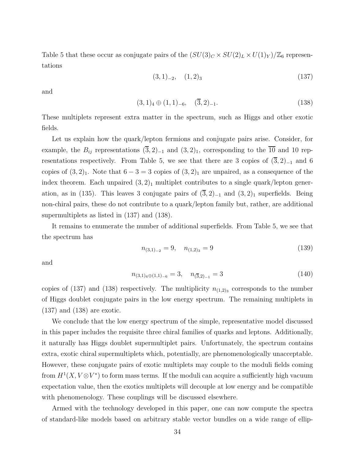Table 5 that these occur as conjugate pairs of the  $(SU(3)_C \times SU(2)_L \times U(1)_Y)/\mathbb{Z}_6$  representations

$$
(3,1)_{-2}, (1,2)_3 \t\t(137)
$$

and

$$
(3,1)4 \oplus (1,1)-6, \quad (\overline{3},2)-1.
$$
 (138)

These multiplets represent extra matter in the spectrum, such as Higgs and other exotic fields.

Let us explain how the quark/lepton fermions and conjugate pairs arise. Consider, for example, the  $B_{ij}$  representations  $(\overline{3}, 2)_{-1}$  and  $(3, 2)_1$ , corresponding to the  $\overline{10}$  and 10 representations respectively. From Table 5, we see that there are 3 copies of  $(3, 2)_{-1}$  and 6 copies of  $(3,2)_1$ . Note that  $6-3=3$  copies of  $(3,2)_1$  are unpaired, as a consequence of the index theorem. Each unpaired  $(3, 2)_1$  multiplet contributes to a single quark/lepton generation, as in (135). This leaves 3 conjugate pairs of  $(3,2)_{-1}$  and  $(3,2)_1$  superfields. Being non-chiral pairs, these do not contribute to a quark/lepton family but, rather, are additional supermultiplets as listed in (137) and (138).

It remains to enumerate the number of additional superfields. From Table 5, we see that the spectrum has

$$
n_{(3,1)_{-2}} = 9, \quad n_{(1,2)_3} = 9 \tag{139}
$$

and

$$
n_{(3,1)_4 \oplus (1,1)_{-6}} = 3, \quad n_{(\overline{3},2)_{-1}} = 3 \tag{140}
$$

copies of (137) and (138) respectively. The multiplicity  $n_{(1,2)3}$  corresponds to the number of Higgs doublet conjugate pairs in the low energy spectrum. The remaining multiplets in (137) and (138) are exotic.

We conclude that the low energy spectrum of the simple, representative model discussed in this paper includes the requisite three chiral families of quarks and leptons. Additionally, it naturally has Higgs doublet supermultiplet pairs. Unfortunately, the spectrum contains extra, exotic chiral supermultiplets which, potentially, are phenomenologically unacceptable. However, these conjugate pairs of exotic multiplets may couple to the moduli fields coming from  $H^1(X, V \otimes V^*)$  to form mass terms. If the moduli can acquire a sufficiently high vacuum expectation value, then the exotics multiplets will decouple at low energy and be compatible with phenomenology. These couplings will be discussed elsewhere.

Armed with the technology developed in this paper, one can now compute the spectra of standard-like models based on arbitrary stable vector bundles on a wide range of ellip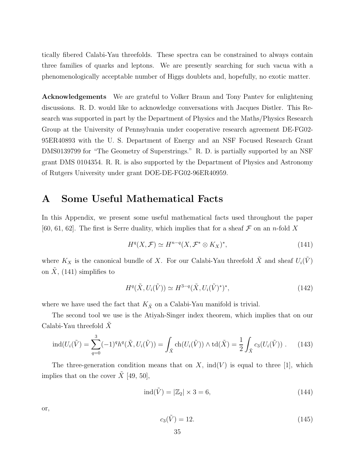tically fibered Calabi-Yau threefolds. These spectra can be constrained to always contain three families of quarks and leptons. We are presently searching for such vacua with a phenomenologically acceptable number of Higgs doublets and, hopefully, no exotic matter.

Acknowledgements We are grateful to Volker Braun and Tony Pantev for enlightening discussions. R. D. would like to acknowledge conversations with Jacques Distler. This Research was supported in part by the Department of Physics and the Maths/Physics Research Group at the University of Pennsylvania under cooperative research agreement DE-FG02- 95ER40893 with the U. S. Department of Energy and an NSF Focused Research Grant DMS0139799 for "The Geometry of Superstrings." R. D. is partially supported by an NSF grant DMS 0104354. R. R. is also supported by the Department of Physics and Astronomy of Rutgers University under grant DOE-DE-FG02-96ER40959.

## A Some Useful Mathematical Facts

In this Appendix, we present some useful mathematical facts used throughout the paper [60, 61, 62]. The first is Serre duality, which implies that for a sheaf  $\mathcal F$  on an n-fold X

$$
H^{q}(X,\mathcal{F}) \simeq H^{n-q}(X,\mathcal{F}^* \otimes K_X)^*,\tag{141}
$$

where  $K_X$  is the canonical bundle of X. For our Calabi-Yau threefold  $\tilde{X}$  and sheaf  $U_i(\tilde{V})$ on  $\hat{X}$ , (141) simplifies to

$$
H^q(\tilde{X}, U_i(\tilde{V})) \simeq H^{3-q}(\tilde{X}, U_i(\tilde{V})^*)^*,
$$
\n(142)

where we have used the fact that  $K_{\tilde{X}}$  on a Calabi-Yau manifold is trivial.

The second tool we use is the Atiyah-Singer index theorem, which implies that on our Calabi-Yau threefold  $X$ 

$$
\operatorname{ind}(U_i(\tilde{V})) = \sum_{q=0}^3 (-1)^q h^q(\tilde{X}, U_i(\tilde{V})) = \int_{\tilde{X}} \operatorname{ch}(U_i(\tilde{V})) \wedge \operatorname{td}(\tilde{X}) = \frac{1}{2} \int_{\tilde{X}} c_3(U_i(\tilde{V})) . \tag{143}
$$

The three-generation condition means that on  $X$ , ind(V) is equal to three [1], which implies that on the cover  $\tilde{X}$  [49, 50],

$$
\operatorname{ind}(\tilde{V}) = |\mathbb{Z}_2| \times 3 = 6,\tag{144}
$$

or,

$$
c_3(\tilde{V}) = 12.\t(145)
$$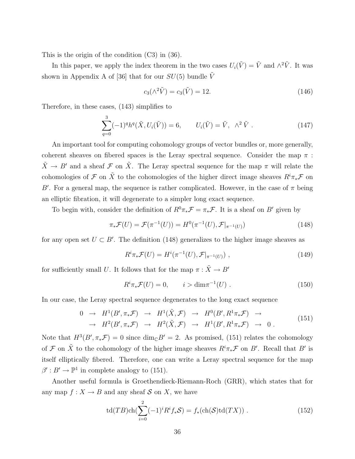This is the origin of the condition (C3) in (36).

In this paper, we apply the index theorem in the two cases  $U_i(\tilde{V}) = \tilde{V}$  and  $\wedge^2 \tilde{V}$ . It was shown in Appendix A of [36] that for our  $SU(5)$  bundle  $\tilde{V}$ 

$$
c_3(\wedge^2 \tilde{V}) = c_3(\tilde{V}) = 12.
$$
\n(146)

Therefore, in these cases, (143) simplifies to

$$
\sum_{q=0}^{3} (-1)^{q} h^{q}(\tilde{X}, U_{i}(\tilde{V})) = 6, \qquad U_{i}(\tilde{V}) = \tilde{V}, \ \wedge^{2} \tilde{V} . \tag{147}
$$

An important tool for computing cohomology groups of vector bundles or, more generally, coherent sheaves on fibered spaces is the Leray spectral sequence. Consider the map  $\pi$ :  $\tilde{X} \to B'$  and a sheaf F on  $\tilde{X}$ . The Leray spectral sequence for the map  $\pi$  will relate the cohomologies of  $\mathcal F$  on  $\tilde X$  to the cohomologies of the higher direct image sheaves  $R^i\pi_*\mathcal F$  on B'. For a general map, the sequence is rather complicated. However, in the case of  $\pi$  being an elliptic fibration, it will degenerate to a simpler long exact sequence.

To begin with, consider the definition of  $R^0\pi_*\mathcal{F} = \pi_*\mathcal{F}$ . It is a sheaf on B' given by

$$
\pi_* \mathcal{F}(U) = \mathcal{F}(\pi^{-1}(U)) = H^0(\pi^{-1}(U), \mathcal{F}|_{\pi^{-1}(U)})
$$
\n(148)

for any open set  $U \subset B'$ . The definition (148) generalizes to the higher image sheaves as

$$
R^{i}\pi_{*}\mathcal{F}(U) = H^{i}(\pi^{-1}(U), \mathcal{F}|_{\pi^{-1}(U)}) ,
$$
\n(149)

for sufficiently small  $U.$  It follows that for the map  $\pi:\tilde{X}\rightarrow B'$ 

$$
R^{i}\pi_{*}\mathcal{F}(U) = 0, \qquad i > \dim \pi^{-1}(U) . \tag{150}
$$

In our case, the Leray spectral sequence degenerates to the long exact sequence

$$
\begin{array}{rcl}\n0 & \to & H^1(B', \pi_*\mathcal{F}) \quad \to & H^1(\tilde{X}, \mathcal{F}) \quad \to & H^0(B', R^1\pi_*\mathcal{F}) \quad \to \\
& \to & H^2(B', \pi_*\mathcal{F}) \quad \to & H^2(\tilde{X}, \mathcal{F}) \quad \to & H^1(B', R^1\pi_*\mathcal{F}) \quad \to & 0 \,.\n\end{array} \tag{151}
$$

Note that  $H^3(B', \pi_*\mathcal{F}) = 0$  since  $\dim_{\mathbb{C}} B' = 2$ . As promised, (151) relates the cohomology of F on  $\tilde{X}$  to the cohomology of the higher image sheaves  $R^i\pi_*\mathcal{F}$  on B'. Recall that B' is itself elliptically fibered. Therefore, one can write a Leray spectral sequence for the map  $\beta': B' \to \mathbb{P}^1$  in complete analogy to (151).

Another useful formula is Groethendieck-Riemann-Roch (GRR), which states that for any map  $f: X \to B$  and any sheaf S on X, we have

$$
\operatorname{td}(TB)\operatorname{ch}(\sum_{i=0}^{2}(-1)^{i}R^{i}f_{*}\mathcal{S})=f_{*}(\operatorname{ch}(\mathcal{S})\operatorname{td}(TX)).
$$
\n(152)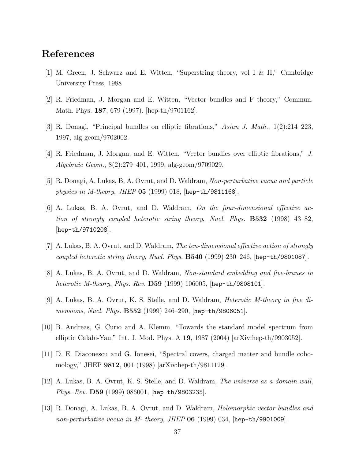## References

- [1] M. Green, J. Schwarz and E. Witten, "Superstring theory, vol I & II," Cambridge University Press, 1988
- [2] R. Friedman, J. Morgan and E. Witten, "Vector bundles and F theory," Commun. Math. Phys. 187, 679 (1997). [hep-th/9701162].
- [3] R. Donagi, "Principal bundles on elliptic fibrations," *Asian J. Math.*, 1(2):214–223, 1997, alg-geom/9702002.
- [4] R. Friedman, J. Morgan, and E. Witten, "Vector bundles over elliptic fibrations," *J. Algebraic Geom.*, 8(2):279–401, 1999, alg-geom/9709029.
- [5] R. Donagi, A. Lukas, B. A. Ovrut, and D. Waldram, *Non-perturbative vacua and particle physics in M-theory*, *JHEP* 05 (1999) 018, [hep-th/9811168].
- [6] A. Lukas, B. A. Ovrut, and D. Waldram, *On the four-dimensional effective action of strongly coupled heterotic string theory*, *Nucl. Phys.* B532 (1998) 43–82, [hep-th/9710208].
- [7] A. Lukas, B. A. Ovrut, and D. Waldram, *The ten-dimensional effective action of strongly coupled heterotic string theory*, *Nucl. Phys.* B540 (1999) 230–246, [hep-th/9801087].
- [8] A. Lukas, B. A. Ovrut, and D. Waldram, *Non-standard embedding and five-branes in heterotic M-theory*, *Phys. Rev.* D59 (1999) 106005, [hep-th/9808101].
- [9] A. Lukas, B. A. Ovrut, K. S. Stelle, and D. Waldram, *Heterotic M-theory in five dimensions*, *Nucl. Phys.* B552 (1999) 246–290, [hep-th/9806051].
- [10] B. Andreas, G. Curio and A. Klemm, "Towards the standard model spectrum from elliptic Calabi-Yau," Int. J. Mod. Phys. A 19, 1987 (2004) [arXiv:hep-th/9903052].
- [11] D. E. Diaconescu and G. Ionesei, "Spectral covers, charged matter and bundle cohomology," JHEP 9812, 001 (1998) [arXiv:hep-th/9811129].
- [12] A. Lukas, B. A. Ovrut, K. S. Stelle, and D. Waldram, *The universe as a domain wall*, *Phys. Rev.* D59 (1999) 086001, [hep-th/9803235].
- [13] R. Donagi, A. Lukas, B. A. Ovrut, and D. Waldram, *Holomorphic vector bundles and non-perturbative vacua in M- theory*, *JHEP* 06 (1999) 034, [hep-th/9901009].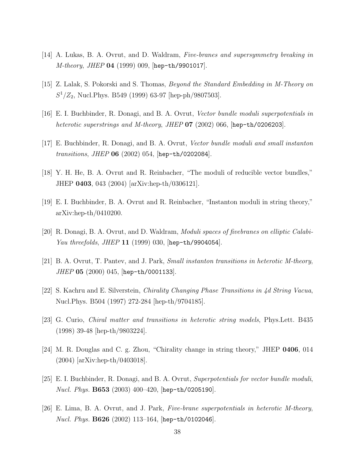- [14] A. Lukas, B. A. Ovrut, and D. Waldram, *Five-branes and supersymmetry breaking in M-theory*, *JHEP* 04 (1999) 009, [hep-th/9901017].
- [15] Z. Lalak, S. Pokorski and S. Thomas, *Beyond the Standard Embedding in M-Theory on*  $S^1/Z_2$ , Nucl.Phys. B549 (1999) 63-97 [hep-ph/9807503].
- [16] E. I. Buchbinder, R. Donagi, and B. A. Ovrut, *Vector bundle moduli superpotentials in heterotic superstrings and M-theory*, *JHEP* 07 (2002) 066, [hep-th/0206203].
- [17] E. Buchbinder, R. Donagi, and B. A. Ovrut, *Vector bundle moduli and small instanton transitions*, *JHEP* 06 (2002) 054, [hep-th/0202084].
- [18] Y. H. He, B. A. Ovrut and R. Reinbacher, "The moduli of reducible vector bundles," JHEP 0403, 043 (2004) [arXiv:hep-th/0306121].
- [19] E. I. Buchbinder, B. A. Ovrut and R. Reinbacher, "Instanton moduli in string theory," arXiv:hep-th/0410200.
- [20] R. Donagi, B. A. Ovrut, and D. Waldram, *Moduli spaces of fivebranes on elliptic Calabi-Yau threefolds*, *JHEP* 11 (1999) 030, [hep-th/9904054].
- [21] B. A. Ovrut, T. Pantev, and J. Park, *Small instanton transitions in heterotic M-theory*, *JHEP* 05 (2000) 045, [hep-th/0001133].
- [22] S. Kachru and E. Silverstein, *Chirality Changing Phase Transitions in 4d String Vacua*, Nucl.Phys. B504 (1997) 272-284 [hep-th/9704185].
- [23] G. Curio, *Chiral matter and transitions in heterotic string models*, Phys.Lett. B435 (1998) 39-48 [hep-th/9803224].
- [24] M. R. Douglas and C. g. Zhou, "Chirality change in string theory," JHEP 0406, 014 (2004) [arXiv:hep-th/0403018].
- [25] E. I. Buchbinder, R. Donagi, and B. A. Ovrut, *Superpotentials for vector bundle moduli*, *Nucl. Phys.* B653 (2003) 400–420, [hep-th/0205190].
- [26] E. Lima, B. A. Ovrut, and J. Park, *Five-brane superpotentials in heterotic M-theory*, *Nucl. Phys.* B626 (2002) 113–164, [hep-th/0102046].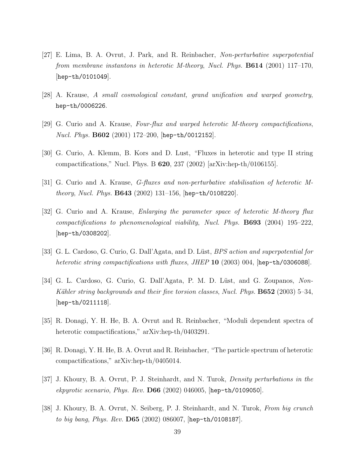- [27] E. Lima, B. A. Ovrut, J. Park, and R. Reinbacher, *Non-perturbative superpotential from membrane instantons in heterotic M-theory*, *Nucl. Phys.* B614 (2001) 117–170, [hep-th/0101049].
- [28] A. Krause, *A small cosmological constant, grand unification and warped geometry*, hep-th/0006226.
- [29] G. Curio and A. Krause, *Four-flux and warped heterotic M-theory compactifications*, *Nucl. Phys.* B602 (2001) 172–200, [hep-th/0012152].
- [30] G. Curio, A. Klemm, B. Kors and D. Lust, "Fluxes in heterotic and type II string compactifications," Nucl. Phys. B  $620$ ,  $237$  (2002) [arXiv:hep-th/0106155].
- [31] G. Curio and A. Krause, *G-fluxes and non-perturbative stabilisation of heterotic Mtheory*, *Nucl. Phys.* B643 (2002) 131–156, [hep-th/0108220].
- [32] G. Curio and A. Krause, *Enlarging the parameter space of heterotic M-theory flux compactifications to phenomenological viability*, *Nucl. Phys.* B693 (2004) 195–222, [hep-th/0308202].
- [33] G. L. Cardoso, G. Curio, G. Dall'Agata, and D. Lüst, *BPS action and superpotential for heterotic string compactifications with fluxes*, *JHEP* 10 (2003) 004, [hep-th/0306088].
- [34] G. L. Cardoso, G. Curio, G. Dall'Agata, P. M. D. Lüst, and G. Zoupanos, *Non*-*K¨ahler string backgrounds and their five torsion classes*, *Nucl. Phys.* B652 (2003) 5–34, [hep-th/0211118].
- [35] R. Donagi, Y. H. He, B. A. Ovrut and R. Reinbacher, "Moduli dependent spectra of heterotic compactifications," arXiv:hep-th/0403291.
- [36] R. Donagi, Y. H. He, B. A. Ovrut and R. Reinbacher, "The particle spectrum of heterotic compactifications," arXiv:hep-th/0405014.
- [37] J. Khoury, B. A. Ovrut, P. J. Steinhardt, and N. Turok, *Density perturbations in the ekpyrotic scenario*, *Phys. Rev.* D66 (2002) 046005, [hep-th/0109050].
- [38] J. Khoury, B. A. Ovrut, N. Seiberg, P. J. Steinhardt, and N. Turok, *From big crunch to big bang*, *Phys. Rev.* D65 (2002) 086007, [hep-th/0108187].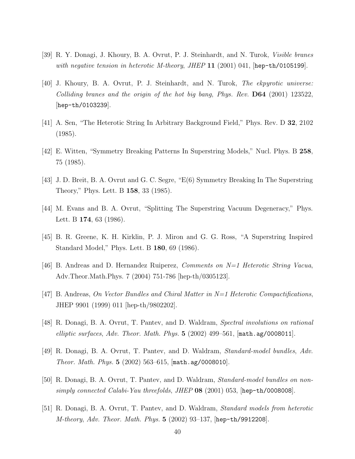- [39] R. Y. Donagi, J. Khoury, B. A. Ovrut, P. J. Steinhardt, and N. Turok, *Visible branes with negative tension in heterotic M-theory*, *JHEP* 11 (2001) 041, [hep-th/0105199].
- [40] J. Khoury, B. A. Ovrut, P. J. Steinhardt, and N. Turok, *The ekpyrotic universe: Colliding branes and the origin of the hot big bang*, *Phys. Rev.* D64 (2001) 123522, [hep-th/0103239].
- [41] A. Sen, "The Heterotic String In Arbitrary Background Field," Phys. Rev. D 32, 2102 (1985).
- [42] E. Witten, "Symmetry Breaking Patterns In Superstring Models," Nucl. Phys. B 258, 75 (1985).
- [43] J. D. Breit, B. A. Ovrut and G. C. Segre, "E(6) Symmetry Breaking In The Superstring Theory," Phys. Lett. B 158, 33 (1985).
- [44] M. Evans and B. A. Ovrut, "Splitting The Superstring Vacuum Degeneracy," Phys. Lett. B **174**, 63 (1986).
- [45] B. R. Greene, K. H. Kirklin, P. J. Miron and G. G. Ross, "A Superstring Inspired Standard Model," Phys. Lett. B 180, 69 (1986).
- [46] B. Andreas and D. Hernandez Ruiperez, *Comments on N=1 Heterotic String Vacua*, Adv.Theor.Math.Phys. 7 (2004) 751-786 [hep-th/0305123].
- [47] B. Andreas, *On Vector Bundles and Chiral Matter in N=1 Heterotic Compactifications*, JHEP 9901 (1999) 011 [hep-th/9802202].
- [48] R. Donagi, B. A. Ovrut, T. Pantev, and D. Waldram, *Spectral involutions on rational elliptic surfaces*, *Adv. Theor. Math. Phys.* 5 (2002) 499–561, [math.ag/0008011].
- [49] R. Donagi, B. A. Ovrut, T. Pantev, and D. Waldram, *Standard-model bundles*, *Adv. Theor. Math. Phys.* 5 (2002) 563–615, [math.ag/0008010].
- [50] R. Donagi, B. A. Ovrut, T. Pantev, and D. Waldram, *Standard-model bundles on nonsimply connected Calabi-Yau threefolds*, *JHEP* 08 (2001) 053, [hep-th/0008008].
- [51] R. Donagi, B. A. Ovrut, T. Pantev, and D. Waldram, *Standard models from heterotic M-theory*, *Adv. Theor. Math. Phys.* 5 (2002) 93–137, [hep-th/9912208].